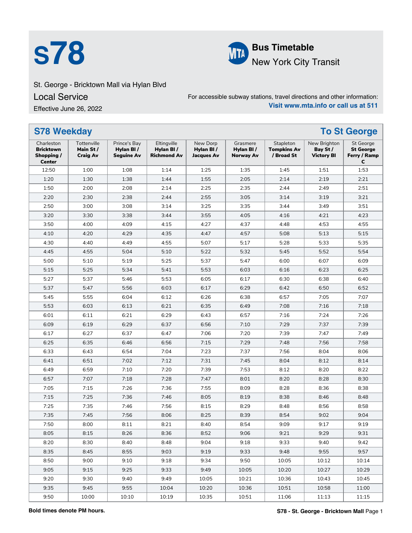



**S78 Bus Timetable**<br>**Bus Timetable**<br>New York City 1 New York City Transit

## St. George - Bricktown Mall via Hylan Blvd

Local Service

Effective June 26, 2022

For accessible subway stations, travel directions and other information: **Visit www.mta.info or call us at 511**

| <b>S78 Weekday</b>                                            |                                            |                                                |                                                |                                            |                                           |                                               |                                               | <b>To St George</b>                                       |
|---------------------------------------------------------------|--------------------------------------------|------------------------------------------------|------------------------------------------------|--------------------------------------------|-------------------------------------------|-----------------------------------------------|-----------------------------------------------|-----------------------------------------------------------|
| Charleston<br><b>Bricktown</b><br>Shopping /<br><b>Center</b> | Tottenville<br>Main St/<br><b>Craig Av</b> | Prince's Bay<br>Hylan BI/<br><b>Seguine Av</b> | Eltingville<br>Hylan BI/<br><b>Richmond Av</b> | New Dorp<br>Hylan BI/<br><b>Jacques Av</b> | Grasmere<br>Hylan BI/<br><b>Norway Av</b> | Stapleton<br><b>Tompkins Av</b><br>/ Broad St | New Brighton<br>Bay St /<br><b>Victory BI</b> | <b>St George</b><br><b>St George</b><br>Ferry / Ramp<br>C |
| 12:50                                                         | 1:00                                       | 1:08                                           | 1:14                                           | 1:25                                       | 1:35                                      | 1:45                                          | 1:51                                          | 1:53                                                      |
| 1:20                                                          | 1:30                                       | 1:38                                           | 1:44                                           | 1:55                                       | 2:05                                      | 2:14                                          | 2:19                                          | 2:21                                                      |
| 1:50                                                          | 2:00                                       | 2:08                                           | 2:14                                           | 2:25                                       | 2:35                                      | 2:44                                          | 2:49                                          | 2:51                                                      |
| 2:20                                                          | 2:30                                       | 2:38                                           | 2:44                                           | 2:55                                       | 3:05                                      | 3:14                                          | 3:19                                          | 3:21                                                      |
| 2:50                                                          | 3:00                                       | 3:08                                           | 3:14                                           | 3:25                                       | 3:35                                      | 3:44                                          | 3:49                                          | 3:51                                                      |
| 3:20                                                          | 3:30                                       | 3:38                                           | 3:44                                           | 3:55                                       | 4:05                                      | 4:16                                          | 4:21                                          | 4:23                                                      |
| 3:50                                                          | 4:00                                       | 4:09                                           | 4:15                                           | 4:27                                       | 4:37                                      | 4:48                                          | 4:53                                          | 4:55                                                      |
| 4:10                                                          | 4:20                                       | 4:29                                           | 4:35                                           | 4:47                                       | 4:57                                      | 5:08                                          | 5:13                                          | 5:15                                                      |
| 4:30                                                          | 4:40                                       | 4:49                                           | 4:55                                           | 5:07                                       | 5:17                                      | 5:28                                          | 5:33                                          | 5:35                                                      |
| 4:45                                                          | 4:55                                       | 5:04                                           | 5:10                                           | 5:22                                       | 5:32                                      | 5:45                                          | 5:52                                          | 5:54                                                      |
| 5:00                                                          | 5:10                                       | 5:19                                           | 5:25                                           | 5:37                                       | 5:47                                      | 6:00                                          | 6:07                                          | 6:09                                                      |
| 5:15                                                          | 5:25                                       | 5:34                                           | 5:41                                           | 5:53                                       | 6:03                                      | 6:16                                          | 6:23                                          | 6:25                                                      |
| 5:27                                                          | 5:37                                       | 5:46                                           | 5:53                                           | 6:05                                       | 6:17                                      | 6:30                                          | 6:38                                          | 6:40                                                      |
| 5:37                                                          | 5:47                                       | 5:56                                           | 6:03                                           | 6:17                                       | 6:29                                      | 6:42                                          | 6:50                                          | 6:52                                                      |
| 5:45                                                          | 5:55                                       | 6:04                                           | 6:12                                           | 6:26                                       | 6:38                                      | 6:57                                          | 7:05                                          | 7:07                                                      |
| 5:53                                                          | 6:03                                       | 6:13                                           | 6:21                                           | 6:35                                       | 6:49                                      | 7:08                                          | 7:16                                          | 7:18                                                      |
| 6:01                                                          | 6:11                                       | 6:21                                           | 6:29                                           | 6:43                                       | 6:57                                      | 7:16                                          | 7:24                                          | 7:26                                                      |
| 6:09                                                          | 6:19                                       | 6:29                                           | 6:37                                           | 6:56                                       | 7:10                                      | 7:29                                          | 7:37                                          | 7:39                                                      |
| 6:17                                                          | 6:27                                       | 6:37                                           | 6:47                                           | 7:06                                       | 7:20                                      | 7:39                                          | 7:47                                          | 7:49                                                      |
| 6:25                                                          | 6:35                                       | 6:46                                           | 6:56                                           | 7:15                                       | 7:29                                      | 7:48                                          | 7:56                                          | 7:58                                                      |
| 6:33                                                          | 6:43                                       | 6:54                                           | 7:04                                           | 7:23                                       | 7:37                                      | 7:56                                          | 8:04                                          | 8:06                                                      |
| 6:41                                                          | 6:51                                       | 7:02                                           | 7:12                                           | 7:31                                       | 7:45                                      | 8:04                                          | 8:12                                          | 8:14                                                      |
| 6:49                                                          | 6:59                                       | 7:10                                           | 7:20                                           | 7:39                                       | 7:53                                      | 8:12                                          | 8:20                                          | 8:22                                                      |
| 6:57                                                          | 7:07                                       | 7:18                                           | 7:28                                           | 7:47                                       | 8:01                                      | 8:20                                          | 8:28                                          | 8:30                                                      |
| 7:05                                                          | 7:15                                       | 7:26                                           | 7:36                                           | 7:55                                       | 8:09                                      | 8:28                                          | 8:36                                          | 8:38                                                      |
| 7:15                                                          | 7:25                                       | 7:36                                           | 7:46                                           | 8:05                                       | 8:19                                      | 8:38                                          | 8:46                                          | 8:48                                                      |
| 7:25                                                          | 7:35                                       | 7:46                                           | 7:56                                           | 8:15                                       | 8:29                                      | 8:48                                          | 8:56                                          | 8:58                                                      |
| 7:35                                                          | 7:45                                       | 7:56                                           | 8:06                                           | 8:25                                       | 8:39                                      | 8:54                                          | 9:02                                          | 9:04                                                      |
| 7:50                                                          | 8:00                                       | 8:11                                           | 8:21                                           | 8:40                                       | 8:54                                      | 9:09                                          | 9:17                                          | 9:19                                                      |
| 8:05                                                          | 8:15                                       | 8:26                                           | 8:36                                           | 8:52                                       | 9:06                                      | 9:21                                          | 9:29                                          | 9:31                                                      |
| 8:20                                                          | 8:30                                       | 8:40                                           | 8:48                                           | 9:04                                       | 9:18                                      | 9:33                                          | 9:40                                          | 9:42                                                      |
| 8:35                                                          | 8:45                                       | 8:55                                           | 9:03                                           | 9:19                                       | 9:33                                      | 9:48                                          | 9:55                                          | 9:57                                                      |
| 8:50                                                          | 9:00                                       | 9:10                                           | 9:18                                           | 9:34                                       | 9:50                                      | 10:05                                         | 10:12                                         | 10:14                                                     |
| 9:05                                                          | 9:15                                       | 9:25                                           | 9:33                                           | 9:49                                       | 10:05                                     | 10:20                                         | 10:27                                         | 10:29                                                     |
| 9:20                                                          | 9:30                                       | 9:40                                           | 9:49                                           | 10:05                                      | 10:21                                     | 10:36                                         | 10:43                                         | 10:45                                                     |
| 9:35                                                          | 9:45                                       | 9:55                                           | 10:04                                          | 10:20                                      | 10:36                                     | 10:51                                         | 10:58                                         | 11:00                                                     |
| 9:50                                                          | 10:00                                      | 10:10                                          | 10:19                                          | 10:35                                      | 10:51                                     | 11:06                                         | 11:13                                         | 11:15                                                     |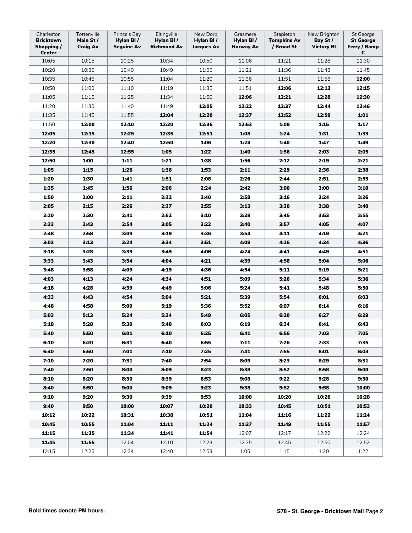| Charleston<br><b>Bricktown</b><br>Shopping /<br><b>Center</b> | Tottenville<br>Main St/<br><b>Craig Av</b> | Prince's Bay<br>Hylan BI/<br>Seguine Av | Eltingville<br>Hylan BI/<br><b>Richmond Av</b> | New Dorp<br>Hylan BI/<br><b>Jacques Av</b> | Grasmere<br>Hylan BI/<br>Norway Av | Stapleton<br><b>Tompkins Av</b><br>/ Broad St | New Brighton<br>Bay St /<br><b>Victory BI</b> | <b>St George</b><br><b>St George</b><br>Ferry / Ramp<br>C |
|---------------------------------------------------------------|--------------------------------------------|-----------------------------------------|------------------------------------------------|--------------------------------------------|------------------------------------|-----------------------------------------------|-----------------------------------------------|-----------------------------------------------------------|
| 10:05                                                         | 10:15                                      | 10:25                                   | 10:34                                          | 10:50                                      | 11:06                              | 11:21                                         | 11:28                                         | 11:30                                                     |
| 10:20                                                         | 10:30                                      | 10:40                                   | 10:49                                          | 11:05                                      | 11:21                              | 11:36                                         | 11:43                                         | 11:45                                                     |
| 10:35                                                         | 10:45                                      | 10:55                                   | 11:04                                          | 11:20                                      | 11:36                              | 11:51                                         | 11:58                                         | 12:00                                                     |
| 10:50                                                         | 11:00                                      | 11:10                                   | 11:19                                          | 11:35                                      | 11:51                              | 12:06                                         | 12:13                                         | 12:15                                                     |
| 11:05                                                         | 11:15                                      | 11:25                                   | 11:34                                          | 11:50                                      | 12:06                              | 12:21                                         | 12:28                                         | 12:30                                                     |
| 11:20                                                         | 11:30                                      | 11:40                                   | 11:49                                          | 12:05                                      | 12:22                              | 12:37                                         | 12:44                                         | 12:46                                                     |
| 11:35                                                         | 11:45                                      | 11:55                                   | 12:04                                          | 12:20                                      | 12:37                              | 12:52                                         | 12:59                                         | 1:01                                                      |
| 11:50                                                         | 12:00                                      | 12:10                                   | 12:20                                          | 12:36                                      | 12:53                              | 1:08                                          | 1:15                                          | 1:17                                                      |
| 12:05                                                         | 12:15                                      | 12:25                                   | 12:35                                          | 12:51                                      | 1:08                               | 1:24                                          | 1:31                                          | 1:33                                                      |
| 12:20                                                         | 12:30                                      | 12:40                                   | 12:50                                          | 1:06                                       | 1:24                               | 1:40                                          | 1:47                                          | 1:49                                                      |
| 12:35                                                         | 12:45                                      | 12:55                                   | 1:05                                           | 1:22                                       | 1:40                               | 1:56                                          | 2:03                                          | 2:05                                                      |
| 12:50                                                         | 1:00                                       | 1:11                                    | 1:21                                           | 1:38                                       | 1:56                               | 2:12                                          | 2:19                                          | 2:21                                                      |
| 1:05                                                          | 1:15                                       | 1:26                                    | 1:36                                           | 1:53                                       | 2:11                               | 2:29                                          | 2:36                                          | 2:38                                                      |
| 1:20                                                          | 1:30                                       | 1:41                                    | 1:51                                           | 2:08                                       | 2:26                               | 2:44                                          | 2:51                                          | 2:53                                                      |
| 1:35                                                          | 1:45                                       | 1:56                                    | 2:06                                           | 2:24                                       | 2:42                               | 3:00                                          | 3:08                                          | 3:10                                                      |
| 1:50                                                          | 2:00                                       | 2:11                                    | 2:22                                           | 2:40                                       | 2:58                               | 3:16                                          | 3:24                                          | 3:26                                                      |
| 2:05                                                          | 2:15                                       | 2:26                                    | 2:37                                           | 2:55                                       | 3:13                               | 3:30                                          | 3:38                                          | 3:40                                                      |
| 2:20                                                          | 2:30                                       | 2:41                                    | 2:52                                           | 3:10                                       | 3:28                               | 3:45                                          | 3:53                                          | 3:55                                                      |
| 2:33                                                          | 2:43                                       | 2:54                                    | 3:05                                           | 3:22                                       | 3:40                               | 3:57                                          | 4:05                                          | 4:07                                                      |
| 2:48                                                          | 2:58                                       | 3:09                                    | 3:19                                           | 3:36                                       | 3:54                               | 4:11                                          | 4:19                                          | 4:21                                                      |
| 3:03                                                          | 3:13                                       | 3:24                                    | 3:34                                           | 3:51                                       | 4:09                               | 4:26                                          | 4:34                                          | 4:36                                                      |
| 3:18                                                          | 3:28                                       | 3:39                                    | 3:49                                           | 4:06                                       | 4:24                               | 4:41                                          | 4:49                                          | 4:51                                                      |
| 3:33                                                          | 3:43                                       | 3:54                                    | 4:04                                           | 4:21                                       | 4:39                               | 4:56                                          | 5:04                                          | 5:06                                                      |
| 3:48                                                          | 3:58                                       | 4:09                                    | 4:19                                           | 4:36                                       | 4:54                               | 5:11                                          | 5:19                                          | 5:21                                                      |
| 4:03                                                          | 4:13                                       | 4:24                                    | 4:34                                           | 4:51                                       | 5:09                               | 5:26                                          | 5:34                                          | 5:36                                                      |
| 4:18                                                          | 4:28                                       | 4:39                                    | 4:49                                           | 5:06                                       | 5:24                               | 5:41                                          | 5:48                                          | 5:50                                                      |
| 4:33                                                          | 4:43                                       | 4:54                                    | 5:04                                           | 5:21                                       | 5:39                               | 5:54                                          | 6:01                                          | 6:03                                                      |
| 4:48                                                          | 4:58                                       | 5:09                                    | 5:19                                           | 5:36                                       | 5:52                               | 6:07                                          | 6:14                                          | 6:16                                                      |
| 5:03                                                          | 5:13                                       | 5:24                                    | 5:34                                           | 5:49                                       | 6:05                               | 6:20                                          | 6:27                                          | 6:29                                                      |
| 5:18                                                          | 5:28                                       | 5:39                                    | 5:48                                           | 6:03                                       | 6:19                               | 6:34                                          | 6:41                                          | 6:43                                                      |
| 5:40<br>6:10                                                  | 5:50<br>6:20                               | 6:01                                    | 6:10                                           | 6:25                                       | 6:41                               | 6:56<br>7:26                                  | 7:03                                          | 7:05                                                      |
| 6:40                                                          | 6:50                                       | 6:31<br>7:01                            | 6:40<br>7:10                                   | 6:55<br>7:25                               | 7:11<br>7:41                       | 7:55                                          | 7:33<br>8:01                                  | 7:35<br>8:03                                              |
| 7:10                                                          | 7:20                                       | 7:31                                    | 7:40                                           | 7:54                                       | 8:09                               | 8:23                                          | 8:29                                          | 8:31                                                      |
| 7:40                                                          | 7:50                                       | 8:00                                    | 8:09                                           | 8:23                                       | 8:38                               | 8:52                                          | 8:58                                          | 9:00                                                      |
| 8:10                                                          | 8:20                                       | 8:30                                    | 8:39                                           | 8:53                                       | 9:08                               | 9:22                                          | 9:28                                          | 9:30                                                      |
| 8:40                                                          | 8:50                                       | 9:00                                    | 9:09                                           | 9:23                                       | 9:38                               | 9:52                                          | 9:58                                          | 10:00                                                     |
| 9:10                                                          | 9:20                                       | 9:30                                    | 9:39                                           | 9:53                                       | 10:08                              | 10:20                                         | 10:26                                         | 10:28                                                     |
| 9:40                                                          | 9:50                                       | 10:00                                   | 10:07                                          | 10:20                                      | 10:33                              | 10:45                                         | 10:51                                         | 10:53                                                     |
| 10:12                                                         | 10:22                                      | 10:31                                   | 10:38                                          | 10:51                                      | 11:04                              | 11:16                                         | 11:22                                         | 11:24                                                     |
| 10:45                                                         | 10:55                                      | 11:04                                   | 11:11                                          | 11:24                                      | 11:37                              | 11:49                                         | 11:55                                         | 11:57                                                     |
| 11:15                                                         | 11:25                                      | 11:34                                   | 11:41                                          | 11:54                                      | 12:07                              | 12:17                                         | 12:22                                         | 12:24                                                     |
| 11:45                                                         | 11:55                                      | 12:04                                   | 12:10                                          | 12:23                                      | 12:35                              | 12:45                                         | 12:50                                         | 12:52                                                     |
| 12:15                                                         | 12:25                                      | 12:34                                   | 12:40                                          | 12:53                                      | 1:05                               | 1:15                                          | 1:20                                          | 1:22                                                      |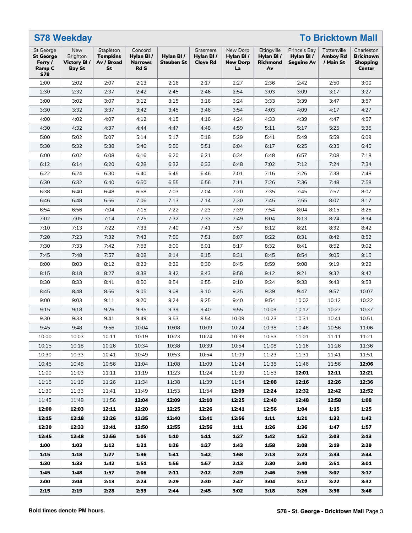|                                                                         | <b>S78 Weekday</b>                               |                                                  |                                                       |                                |                                          |                                                |                                            | <b>To Bricktown Mall</b>                       |                                             |                                                             |  |  |  |
|-------------------------------------------------------------------------|--------------------------------------------------|--------------------------------------------------|-------------------------------------------------------|--------------------------------|------------------------------------------|------------------------------------------------|--------------------------------------------|------------------------------------------------|---------------------------------------------|-------------------------------------------------------------|--|--|--|
| St George<br><b>St George</b><br>Ferry /<br><b>Ramp C</b><br><b>S78</b> | New<br>Brighton<br>Victory BI /<br><b>Bay St</b> | Stapleton<br><b>Tompkins</b><br>Av / Broad<br>St | Concord<br>Hylan BI/<br><b>Narrows</b><br><b>Rd S</b> | Hylan BI/<br><b>Steuben St</b> | Grasmere<br>Hylan BI/<br><b>Clove Rd</b> | New Dorp<br>Hylan BI/<br><b>New Dorp</b><br>La | Eltingville<br>Hylan BI/<br>Richmond<br>Av | Prince's Bay<br>Hylan BI/<br><b>Seguine Av</b> | Tottenville<br><b>Amboy Rd</b><br>/ Main St | Charleston<br><b>Bricktown</b><br><b>Shopping</b><br>Center |  |  |  |
| 2:00                                                                    | 2:02                                             | 2:07                                             | 2:13                                                  | 2:16                           | 2:17                                     | 2:27                                           | 2:36                                       | 2:42                                           | 2:50                                        | 3:00                                                        |  |  |  |
| 2:30                                                                    | 2:32                                             | 2:37                                             | 2:42                                                  | 2:45                           | 2:46                                     | 2:54                                           | 3:03                                       | 3:09                                           | 3:17                                        | 3:27                                                        |  |  |  |
| 3:00                                                                    | 3:02                                             | 3:07                                             | 3:12                                                  | 3:15                           | 3:16                                     | 3:24                                           | 3:33                                       | 3:39                                           | 3:47                                        | 3:57                                                        |  |  |  |
| 3:30                                                                    | 3:32                                             | 3:37                                             | 3:42                                                  | 3:45                           | 3:46                                     | 3:54                                           | 4:03                                       | 4:09                                           | 4:17                                        | 4:27                                                        |  |  |  |
| 4:00                                                                    | 4:02                                             | 4:07                                             | 4:12                                                  | 4:15                           | 4:16                                     | 4:24                                           | 4:33                                       | 4:39                                           | 4:47                                        | 4:57                                                        |  |  |  |
| 4:30                                                                    | 4:32                                             | 4:37                                             | 4:44                                                  | 4:47                           | 4:48                                     | 4:59                                           | 5:11                                       | 5:17                                           | 5:25                                        | 5:35                                                        |  |  |  |
| 5:00                                                                    | 5:02                                             | 5:07                                             | 5:14                                                  | 5:17                           | 5:18                                     | 5:29                                           | 5:41                                       | 5:49                                           | 5:59                                        | 6:09                                                        |  |  |  |
| 5:30                                                                    | 5:32                                             | 5:38                                             | 5:46                                                  | 5:50                           | 5:51                                     | 6:04                                           | 6:17                                       | 6:25                                           | 6:35                                        | 6:45                                                        |  |  |  |
| 6:00                                                                    | 6:02                                             | 6:08                                             | 6:16                                                  | 6:20                           | 6:21                                     | 6:34                                           | 6:48                                       | 6:57                                           | 7:08                                        | 7:18                                                        |  |  |  |
| 6:12                                                                    | 6:14                                             | 6:20                                             | 6:28                                                  | 6:32                           | 6:33                                     | 6:48                                           | 7:02                                       | 7:12                                           | 7:24                                        | 7:34                                                        |  |  |  |
| 6:22                                                                    | 6:24                                             | 6:30                                             | 6:40                                                  | 6:45                           | 6:46                                     | 7:01                                           | 7:16                                       | 7:26                                           | 7:38                                        | 7:48                                                        |  |  |  |
| 6:30                                                                    | 6:32                                             | 6:40                                             | 6:50                                                  | 6:55                           | 6:56                                     | 7:11                                           | 7:26                                       | 7:36                                           | 7:48                                        | 7:58                                                        |  |  |  |
| 6:38                                                                    | 6:40                                             | 6:48                                             | 6:58                                                  | 7:03                           | 7:04                                     | 7:20                                           | 7:35                                       | 7:45                                           | 7:57                                        | 8:07                                                        |  |  |  |
| 6:46                                                                    | 6:48                                             | 6:56                                             | 7:06                                                  | 7:13                           | 7:14                                     | 7:30                                           | 7:45                                       | 7:55                                           | 8:07                                        | 8:17                                                        |  |  |  |
| 6:54                                                                    | 6:56                                             | 7:04                                             | 7:15                                                  | 7:22                           | 7:23                                     | 7:39                                           | 7:54                                       | 8:04                                           | 8:15                                        | 8:25                                                        |  |  |  |
| 7:02                                                                    | 7:05                                             | 7:14                                             | 7:25                                                  | 7:32                           | 7:33                                     | 7:49                                           | 8:04                                       | 8:13                                           | 8:24                                        | 8:34                                                        |  |  |  |
| 7:10                                                                    | 7:13                                             | 7:22                                             | 7:33                                                  | 7:40                           | 7:41                                     | 7:57                                           | 8:12                                       | 8:21                                           | 8:32                                        | 8:42                                                        |  |  |  |
| 7:20                                                                    | 7:23                                             | 7:32                                             | 7:43                                                  | 7:50                           | 7:51                                     | 8:07                                           | 8:22                                       | 8:31                                           | 8:42                                        | 8:52                                                        |  |  |  |
| 7:30                                                                    | 7:33                                             | 7:42                                             | 7:53                                                  | 8:00                           | 8:01                                     | 8:17                                           | 8:32                                       | 8:41                                           | 8:52                                        | 9:02                                                        |  |  |  |
| 7:45                                                                    | 7:48                                             | 7:57                                             | 8:08                                                  | 8:14                           | 8:15                                     | 8:31                                           | 8:45                                       | 8:54                                           | 9:05                                        | 9:15                                                        |  |  |  |
| 8:00                                                                    | 8:03                                             | 8:12                                             | 8:23                                                  | 8:29                           | 8:30                                     | 8:45                                           | 8:59                                       | 9:08                                           | 9:19                                        | 9:29                                                        |  |  |  |
| 8:15                                                                    | 8:18                                             | 8:27                                             | 8:38                                                  | 8:42                           | 8:43                                     | 8:58                                           | 9:12                                       | 9:21                                           | 9:32                                        | 9:42                                                        |  |  |  |
| 8:30                                                                    | 8:33                                             | 8:41                                             | 8:50                                                  | 8:54                           | 8:55                                     | 9:10                                           | 9:24                                       | 9:33                                           | 9:43                                        | 9:53                                                        |  |  |  |
| 8:45                                                                    | 8:48                                             | 8:56                                             | 9:05                                                  | 9:09                           | 9:10                                     | 9:25                                           | 9:39                                       | 9:47                                           | 9:57                                        | 10:07                                                       |  |  |  |
| 9:00                                                                    | 9:03                                             | 9:11                                             | 9:20                                                  | 9:24                           | 9:25                                     | 9:40                                           | 9:54                                       | 10:02                                          | 10:12                                       | 10:22                                                       |  |  |  |
| 9:15                                                                    | 9:18                                             | 9:26                                             | 9:35                                                  | 9:39                           | 9:40                                     | 9:55                                           | 10:09                                      | 10:17                                          | 10:27                                       | 10:37                                                       |  |  |  |
| 9:30                                                                    | 9:33                                             | 9:41                                             | 9:49                                                  | 9:53                           | 9:54                                     | 10:09                                          | 10:23                                      | 10:31                                          | 10:41                                       | 10:51                                                       |  |  |  |
| 9:45                                                                    | 9:48                                             | 9:56                                             | 10:04                                                 | 10:08                          | 10:09                                    | 10:24                                          | 10:38                                      | 10:46                                          | 10:56                                       | 11:06                                                       |  |  |  |
| 10:00                                                                   | 10:03                                            | 10:11                                            | 10:19                                                 | 10:23                          | 10:24                                    | 10:39                                          | 10:53                                      | 11:01                                          | 11:11                                       | 11:21                                                       |  |  |  |
| 10:15                                                                   | 10:18                                            | 10:26                                            | 10:34                                                 | 10:38                          | 10:39                                    | 10:54                                          | 11:08                                      | 11:16                                          | 11:26                                       | 11:36                                                       |  |  |  |
| 10:30                                                                   | 10:33                                            | 10:41                                            | 10:49                                                 | 10:53                          | 10:54                                    | 11:09                                          | 11:23                                      | 11:31                                          | 11:41                                       | 11:51                                                       |  |  |  |
| 10:45                                                                   | 10:48                                            | 10:56                                            | 11:04                                                 | 11:08                          | 11:09                                    | 11:24                                          | 11:38                                      | 11:46                                          | 11:56                                       | 12:06                                                       |  |  |  |
| 11:00                                                                   | 11:03                                            | 11:11                                            | 11:19                                                 | 11:23                          | 11:24                                    | 11:39                                          | 11:53                                      | 12:01                                          | 12:11                                       | 12:21                                                       |  |  |  |
| 11:15                                                                   | 11:18                                            | 11:26                                            | 11:34                                                 | 11:38                          | 11:39                                    | 11:54                                          | 12:08                                      | 12:16                                          | 12:26                                       | 12:36                                                       |  |  |  |
| 11:30                                                                   | 11:33                                            | 11:41                                            | 11:49                                                 | 11:53                          | 11:54                                    | 12:09                                          | 12:24                                      | 12:32                                          | 12:42                                       | 12:52                                                       |  |  |  |
| 11:45                                                                   | 11:48                                            | 11:56                                            | 12:04                                                 | 12:09                          | 12:10                                    | 12:25                                          | 12:40                                      | 12:48                                          | 12:58                                       | 1:08                                                        |  |  |  |
| 12:00                                                                   | 12:03                                            | 12:11                                            | 12:20                                                 | 12:25                          | 12:26                                    | 12:41                                          | 12:56                                      | 1:04                                           | 1:15                                        | 1:25                                                        |  |  |  |
| 12:15                                                                   | 12:18                                            | 12:26                                            | 12:35                                                 | 12:40                          | 12:41                                    | 12:56                                          | 1:11                                       | 1:21                                           | 1:32                                        | 1:42                                                        |  |  |  |
| 12:30                                                                   | 12:33                                            | 12:41                                            | 12:50                                                 | 12:55                          | 12:56                                    | 1:11                                           | 1:26                                       | 1:36                                           | 1:47                                        | 1:57                                                        |  |  |  |
| 12:45                                                                   | 12:48                                            | 12:56                                            | 1:05                                                  | 1:10                           | 1:11                                     | 1:27                                           | 1:42                                       | 1:52                                           | 2:03                                        | 2:13                                                        |  |  |  |
| 1:00                                                                    | 1:03                                             | 1:12                                             | 1:21                                                  | 1:26                           | 1:27                                     | 1:43                                           | 1:58                                       | 2:08                                           | 2:19                                        | 2:29                                                        |  |  |  |
| 1:15                                                                    | 1:18                                             | 1:27                                             | 1:36                                                  | 1:41                           | 1:42                                     | 1:58                                           | 2:13                                       | 2:23                                           | 2:34                                        | 2:44                                                        |  |  |  |
| 1:30                                                                    | 1:33                                             | 1:42                                             | 1:51                                                  | 1:56                           | 1:57                                     | 2:13                                           | 2:30                                       | 2:40                                           | 2:51                                        | 3:01                                                        |  |  |  |
| 1:45                                                                    | 1:48                                             | 1:57                                             | 2:06                                                  | 2:11                           | 2:12                                     | 2:29                                           | 2:46                                       | 2:56                                           | 3:07                                        | 3:17                                                        |  |  |  |
| 2:00<br>2:15                                                            | 2:04<br>2:19                                     | 2:13<br>2:28                                     | 2:24<br>2:39                                          | 2:29<br>2:44                   | 2:30<br>2:45                             | 2:47<br>3:02                                   | 3:04<br>3:18                               | 3:12<br>3:26                                   | 3:22<br>3:36                                | 3:32<br>3:46                                                |  |  |  |
|                                                                         |                                                  |                                                  |                                                       |                                |                                          |                                                |                                            |                                                |                                             |                                                             |  |  |  |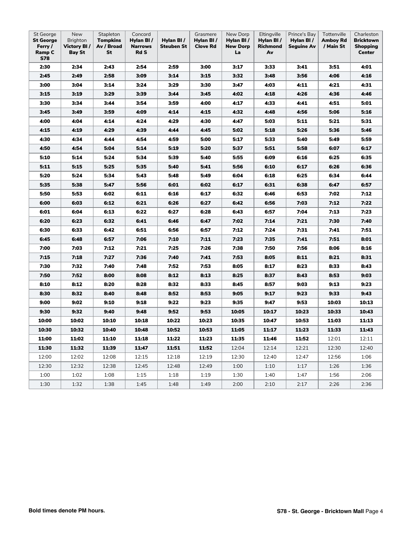| St George<br><b>St George</b><br>Ferry /<br>Ramp C<br>S78 | New<br>Brighton<br>Victory BI/<br><b>Bay St</b> | Stapleton<br><b>Tompkins</b><br>Av / Broad<br>St | Concord<br>Hylan BI /<br><b>Narrows</b><br><b>Rd S</b> | Hylan BI/<br><b>Steuben St</b> | Grasmere<br>Hylan BI/<br><b>Clove Rd</b> | New Dorp<br>Hylan BI/<br><b>New Dorp</b><br>La | Eltingville<br>Hylan BI/<br>Richmond<br>Av | Prince's Bay<br>Hylan BI/<br><b>Seguine Av</b> | Tottenville<br><b>Amboy Rd</b><br>/ Main St | Charleston<br><b>Bricktown</b><br>Shopping<br>Center |
|-----------------------------------------------------------|-------------------------------------------------|--------------------------------------------------|--------------------------------------------------------|--------------------------------|------------------------------------------|------------------------------------------------|--------------------------------------------|------------------------------------------------|---------------------------------------------|------------------------------------------------------|
| 2:30                                                      | 2:34                                            | 2:43                                             | 2:54                                                   | 2:59                           | 3:00                                     | 3:17                                           | 3:33                                       | 3:41                                           | 3:51                                        | 4:01                                                 |
| 2:45                                                      | 2:49                                            | 2:58                                             | 3:09                                                   | 3:14                           | 3:15                                     | 3:32                                           | 3:48                                       | 3:56                                           | 4:06                                        | 4:16                                                 |
| 3:00                                                      | 3:04                                            | 3:14                                             | 3:24                                                   | 3:29                           | 3:30                                     | 3:47                                           | 4:03                                       | 4:11                                           | 4:21                                        | 4:31                                                 |
| 3:15                                                      | 3:19                                            | 3:29                                             | 3:39                                                   | 3:44                           | 3:45                                     | 4:02                                           | 4:18                                       | 4:26                                           | 4:36                                        | 4:46                                                 |
| 3:30                                                      | 3:34                                            | 3:44                                             | 3:54                                                   | 3:59                           | 4:00                                     | 4:17                                           | 4:33                                       | 4:41                                           | 4:51                                        | 5:01                                                 |
| 3:45                                                      | 3:49                                            | 3:59                                             | 4:09                                                   | 4:14                           | 4:15                                     | 4:32                                           | 4:48                                       | 4:56                                           | 5:06                                        | 5:16                                                 |
| 4:00                                                      | 4:04                                            | 4:14                                             | 4:24                                                   | 4:29                           | 4:30                                     | 4:47                                           | 5:03                                       | 5:11                                           | 5:21                                        | 5:31                                                 |
| 4:15                                                      | 4:19                                            | 4:29                                             | 4:39                                                   | 4:44                           | 4:45                                     | 5:02                                           | 5:18                                       | 5:26                                           | 5:36                                        | 5:46                                                 |
| 4:30                                                      | 4:34                                            | 4:44                                             | 4:54                                                   | 4:59                           | 5:00                                     | 5:17                                           | 5:33                                       | 5:40                                           | 5:49                                        | 5:59                                                 |
| 4:50                                                      | 4:54                                            | 5:04                                             | 5:14                                                   | 5:19                           | 5:20                                     | 5:37                                           | 5:51                                       | 5:58                                           | 6:07                                        | 6:17                                                 |
| 5:10                                                      | 5:14                                            | 5:24                                             | 5:34                                                   | 5:39                           | 5:40                                     | 5:55                                           | 6:09                                       | 6:16                                           | 6:25                                        | 6:35                                                 |
| 5:11                                                      | 5:15                                            | 5:25                                             | 5:35                                                   | 5:40                           | 5:41                                     | 5:56                                           | 6:10                                       | 6:17                                           | 6:26                                        | 6:36                                                 |
| 5:20                                                      | 5:24                                            | 5:34                                             | 5:43                                                   | 5:48                           | 5:49                                     | 6:04                                           | 6:18                                       | 6:25                                           | 6:34                                        | 6:44                                                 |
| 5:35                                                      | 5:38                                            | 5:47                                             | 5:56                                                   | 6:01                           | 6:02                                     | 6:17                                           | 6:31                                       | 6:38                                           | 6:47                                        | 6:57                                                 |
| 5:50                                                      | 5:53                                            | 6:02                                             | 6:11                                                   | 6:16                           | 6:17                                     | 6:32                                           | 6:46                                       | 6:53                                           | 7:02                                        | 7:12                                                 |
| 6:00                                                      | 6:03                                            | 6:12                                             | 6:21                                                   | 6:26                           | 6:27                                     | 6:42                                           | 6:56                                       | 7:03                                           | 7:12                                        | 7:22                                                 |
| 6:01                                                      | 6:04                                            | 6:13                                             | 6:22                                                   | 6:27                           | 6:28                                     | 6:43                                           | 6:57                                       | 7:04                                           | 7:13                                        | 7:23                                                 |
| 6:20                                                      | 6:23                                            | 6:32                                             | 6:41                                                   | 6:46                           | 6:47                                     | 7:02                                           | 7:14                                       | 7:21                                           | 7:30                                        | 7:40                                                 |
| 6:30                                                      | 6:33                                            | 6:42                                             | 6:51                                                   | 6:56                           | 6:57                                     | 7:12                                           | 7:24                                       | 7:31                                           | 7:41                                        | 7:51                                                 |
| 6:45                                                      | 6:48                                            | 6:57                                             | 7:06                                                   | 7:10                           | 7:11                                     | 7:23                                           | 7:35                                       | 7:41                                           | 7:51                                        | 8:01                                                 |
| 7:00                                                      | 7:03                                            | 7:12                                             | 7:21                                                   | 7:25                           | 7:26                                     | 7:38                                           | 7:50                                       | 7:56                                           | 8:06                                        | 8:16                                                 |
| 7:15                                                      | 7:18                                            | 7:27                                             | 7:36                                                   | 7:40                           | 7:41                                     | 7:53                                           | 8:05                                       | 8:11                                           | 8:21                                        | 8:31                                                 |
| 7:30                                                      | 7:32                                            | 7:40                                             | 7:48                                                   | 7:52                           | 7:53                                     | 8:05                                           | 8:17                                       | 8:23                                           | 8:33                                        | 8:43                                                 |
| 7:50                                                      | 7:52                                            | 8:00                                             | 8:08                                                   | 8:12                           | 8:13                                     | 8:25                                           | 8:37                                       | 8:43                                           | 8:53                                        | 9:03                                                 |
| 8:10                                                      | 8:12                                            | 8:20                                             | 8:28                                                   | 8:32                           | 8:33                                     | 8:45                                           | 8:57                                       | 9:03                                           | 9:13                                        | 9:23                                                 |
| 8:30                                                      | 8:32                                            | 8:40                                             | 8:48                                                   | 8:52                           | 8:53                                     | 9:05                                           | 9:17                                       | 9:23                                           | 9:33                                        | 9:43                                                 |
| 9:00                                                      | 9:02                                            | 9:10                                             | 9:18                                                   | 9:22                           | 9:23                                     | 9:35                                           | 9:47                                       | 9:53                                           | 10:03                                       | 10:13                                                |
| 9:30                                                      | 9:32                                            | 9:40                                             | 9:48                                                   | 9:52                           | 9:53                                     | 10:05                                          | 10:17                                      | 10:23                                          | 10:33                                       | 10:43                                                |
| 10:00                                                     | 10:02                                           | 10:10                                            | 10:18                                                  | 10:22                          | 10:23                                    | 10:35                                          | 10:47                                      | 10:53                                          | 11:03                                       | 11:13                                                |
| 10:30                                                     | 10:32                                           | 10:40                                            | 10:48                                                  | 10:52                          | 10:53                                    | 11:05                                          | 11:17                                      | 11:23                                          | 11:33                                       | 11:43                                                |
| 11:00                                                     | 11:02                                           | 11:10                                            | 11:18                                                  | 11:22                          | 11:23                                    | 11:35                                          | 11:46                                      | 11:52                                          | 12:01                                       | 12:11                                                |
| 11:30                                                     | 11:32                                           | 11:39                                            | 11:47                                                  | 11:51                          | 11:52                                    | 12:04                                          | 12:14                                      | 12:21                                          | 12:30                                       | 12:40                                                |
| 12:00                                                     | 12:02                                           | 12:08                                            | 12:15                                                  | 12:18                          | 12:19                                    | 12:30                                          | 12:40                                      | 12:47                                          | 12:56                                       | 1:06                                                 |
| 12:30                                                     | 12:32                                           | 12:38                                            | 12:45                                                  | 12:48                          | 12:49                                    | 1:00                                           | 1:10                                       | 1:17                                           | 1:26                                        | 1:36                                                 |
| 1:00                                                      | 1:02                                            | 1:08                                             | 1:15                                                   | 1:18                           | 1:19                                     | 1:30                                           | 1:40                                       | 1:47                                           | 1:56                                        | 2:06                                                 |
| 1:30                                                      | 1:32                                            | 1:38                                             | 1:45                                                   | 1:48                           | 1:49                                     | 2:00                                           | 2:10                                       | 2:17                                           | 2:26                                        | 2:36                                                 |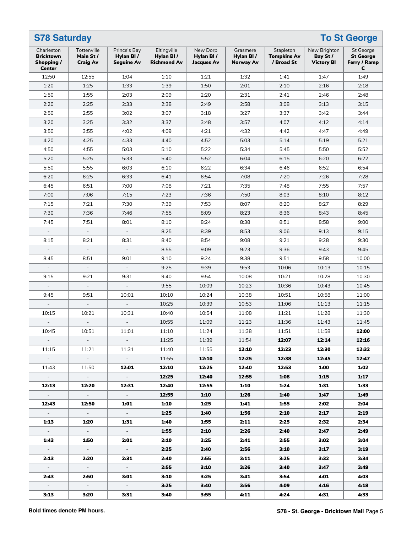| <b>S78 Saturday</b>                                           |                                            |                                                |                                                |                                            |                                    | <b>To St George</b>                           |                                               |                                                    |  |  |  |  |  |
|---------------------------------------------------------------|--------------------------------------------|------------------------------------------------|------------------------------------------------|--------------------------------------------|------------------------------------|-----------------------------------------------|-----------------------------------------------|----------------------------------------------------|--|--|--|--|--|
| Charleston<br><b>Bricktown</b><br>Shopping /<br><b>Center</b> | Tottenville<br>Main St/<br><b>Craig Av</b> | Prince's Bay<br>Hylan BI/<br><b>Seguine Av</b> | Eltingville<br>Hylan BI/<br><b>Richmond Av</b> | New Dorp<br>Hylan BI/<br><b>Jacques Av</b> | Grasmere<br>Hylan BI/<br>Norway Av | Stapleton<br><b>Tompkins Av</b><br>/ Broad St | New Brighton<br>Bay St /<br><b>Victory BI</b> | St George<br><b>St George</b><br>Ferry / Ramp<br>С |  |  |  |  |  |
| 12:50                                                         | 12:55                                      | 1:04                                           | 1:10                                           | 1:21                                       | 1:32                               | 1:41                                          | 1:47                                          | 1:49                                               |  |  |  |  |  |
| 1:20                                                          | 1:25                                       | 1:33                                           | 1:39                                           | 1:50                                       | 2:01                               | 2:10                                          | 2:16                                          | 2:18                                               |  |  |  |  |  |
| 1:50                                                          | 1:55                                       | 2:03                                           | 2:09                                           | 2:20                                       | 2:31                               | 2:41                                          | 2:46                                          | 2:48                                               |  |  |  |  |  |
| 2:20                                                          | 2:25                                       | 2:33                                           | 2:38                                           | 2:49                                       | 2:58                               | 3:08                                          | 3:13                                          | 3:15                                               |  |  |  |  |  |
| 2:50                                                          | 2:55                                       | 3:02                                           | 3:07                                           | 3:18                                       | 3:27                               | 3:37                                          | 3:42                                          | 3:44                                               |  |  |  |  |  |
| 3:20                                                          | 3:25                                       | 3:32                                           | 3:37                                           | 3:48                                       | 3:57                               | 4:07                                          | 4:12                                          | 4:14                                               |  |  |  |  |  |
| 3:50                                                          | 3:55                                       | 4:02                                           | 4:09                                           | 4:21                                       | 4:32                               | 4:42                                          | 4:47                                          | 4:49                                               |  |  |  |  |  |
| 4:20                                                          | 4:25                                       | 4:33                                           | 4:40                                           | 4:52                                       | 5:03                               | 5:14                                          | 5:19                                          | 5:21                                               |  |  |  |  |  |
| 4:50                                                          | 4:55                                       | 5:03                                           | 5:10                                           | 5:22                                       | 5:34                               | 5:45                                          | 5:50                                          | 5:52                                               |  |  |  |  |  |
| 5:20                                                          | 5:25                                       | 5:33                                           | 5:40                                           | 5:52                                       | 6:04                               | 6:15                                          | 6:20                                          | 6:22                                               |  |  |  |  |  |
| 5:50                                                          | 5:55                                       | 6:03                                           | 6:10                                           | 6:22                                       | 6:34                               | 6:46                                          | 6:52                                          | 6:54                                               |  |  |  |  |  |
| 6:20                                                          | 6:25                                       | 6:33                                           | 6:41                                           | 6:54                                       | 7:08                               | 7:20                                          | 7:26                                          | 7:28                                               |  |  |  |  |  |
| 6:45                                                          | 6:51                                       | 7:00                                           | 7:08                                           | 7:21                                       | 7:35                               | 7:48                                          | 7:55                                          | 7:57                                               |  |  |  |  |  |
| 7:00                                                          | 7:06                                       | 7:15                                           | 7:23                                           | 7:36                                       | 7:50                               | 8:03                                          | 8:10                                          | 8:12                                               |  |  |  |  |  |
| 7:15                                                          | 7:21                                       | 7:30                                           | 7:39                                           | 7:53                                       | 8:07                               | 8:20                                          | 8:27                                          | 8:29                                               |  |  |  |  |  |
| 7:30                                                          | 7:36                                       | 7:46                                           | 7:55                                           | 8:09                                       | 8:23                               | 8:36                                          | 8:43                                          | 8:45                                               |  |  |  |  |  |
| 7:45                                                          | 7:51                                       | 8:01                                           | 8:10                                           | 8:24                                       | 8:38                               | 8:51                                          | 8:58                                          | 9:00                                               |  |  |  |  |  |
| $\overline{\phantom{a}}$                                      | $\equiv$                                   | $\omega_{\rm c}$                               | 8:25                                           | 8:39                                       | 8:53                               | 9:06                                          | 9:13                                          | 9:15                                               |  |  |  |  |  |
| 8:15                                                          | 8:21                                       | 8:31                                           | 8:40                                           | 8:54                                       | 9:08                               | 9:21                                          | 9:28                                          | 9:30                                               |  |  |  |  |  |
| $\overline{\phantom{a}}$                                      | $\equiv$                                   | $\overline{\phantom{a}}$                       | 8:55                                           | 9:09                                       | 9:23                               | 9:36                                          | 9:43                                          | 9:45                                               |  |  |  |  |  |
| 8:45                                                          | 8:51                                       | 9:01                                           | 9:10                                           | 9:24                                       | 9:38                               | 9:51                                          | 9:58                                          | 10:00                                              |  |  |  |  |  |
| $\overline{\phantom{a}}$                                      | $\Box$                                     | $\equiv$                                       | 9:25                                           | 9:39                                       | 9:53                               | 10:06                                         | 10:13                                         | 10:15                                              |  |  |  |  |  |
|                                                               |                                            |                                                | 9:40                                           | 9:54                                       | 10:08                              | 10:21                                         | 10:28                                         | 10:30                                              |  |  |  |  |  |
| 9:15<br>$\overline{\phantom{a}}$                              | 9:21<br>$\overline{\phantom{a}}$           | 9:31<br>$\equiv$                               |                                                |                                            | 10:23                              | 10:36                                         | 10:43                                         | 10:45                                              |  |  |  |  |  |
|                                                               |                                            |                                                | 9:55                                           | 10:09                                      |                                    |                                               | 10:58                                         |                                                    |  |  |  |  |  |
| 9:45                                                          | 9:51                                       | 10:01<br>$\equiv$                              | 10:10                                          | 10:24                                      | 10:38                              | 10:51                                         |                                               | 11:00                                              |  |  |  |  |  |
| $\overline{\phantom{a}}$                                      | $\overline{\phantom{a}}$                   |                                                | 10:25                                          | 10:39                                      | 10:53                              | 11:06                                         | 11:13                                         | 11:15                                              |  |  |  |  |  |
| 10:15                                                         | 10:21                                      | 10:31                                          | 10:40                                          | 10:54                                      | 11:08<br>11:23                     | 11:21                                         | 11:28                                         | 11:30                                              |  |  |  |  |  |
|                                                               |                                            |                                                | 10:55                                          | 11:09                                      |                                    | 11:36                                         | 11:43                                         | 11:45                                              |  |  |  |  |  |
| 10:45                                                         | 10:51                                      | 11:01                                          | 11:10                                          | 11:24                                      | 11:38                              | 11:51                                         | 11:58                                         | 12:00                                              |  |  |  |  |  |
| $\sim$                                                        | $\sim$                                     | $\sim$                                         | 11:25                                          | 11:39                                      | 11:54                              | 12:07                                         | 12:14                                         | 12:16                                              |  |  |  |  |  |
| 11:15                                                         | 11:21                                      | 11:31                                          | 11:40                                          | 11:55                                      | 12:10                              | 12:23                                         | 12:30                                         | 12:32                                              |  |  |  |  |  |
| $\sim$ $-$                                                    | $\sim 100$                                 | $\sim$ $-$                                     | 11:55                                          | 12:10                                      | 12:25                              | 12:38                                         | 12:45                                         | 12:47                                              |  |  |  |  |  |
| 11:43                                                         | 11:50                                      | 12:01                                          | 12:10                                          | 12:25                                      | 12:40                              | 12:53                                         | 1:00                                          | 1:02                                               |  |  |  |  |  |
| $\sim 100$                                                    | $\sim 100$                                 | $\sim 10^{-1}$                                 | 12:25                                          | 12:40                                      | 12:55                              | 1:08                                          | 1:15                                          | 1:17                                               |  |  |  |  |  |
| 12:13                                                         | 12:20                                      | 12:31                                          | 12:40                                          | 12:55                                      | 1:10                               | 1:24                                          | 1:31                                          | 1:33                                               |  |  |  |  |  |
| $\sim$ $-$                                                    | $\sim$ $-$                                 | $\sim$ $-$                                     | 12:55                                          | 1:10                                       | 1:26                               | 1:40                                          | 1:47                                          | 1:49                                               |  |  |  |  |  |
| 12:43                                                         | 12:50                                      | 1:01                                           | 1:10                                           | 1:25                                       | 1:41                               | 1:55                                          | 2:02                                          | 2:04                                               |  |  |  |  |  |
| $\sim$                                                        | $\sim$ $-$                                 | $\sim$                                         | 1:25                                           | 1:40                                       | 1:56                               | 2:10                                          | 2:17                                          | 2:19                                               |  |  |  |  |  |
| 1:13                                                          | 1:20                                       | 1:31                                           | 1:40                                           | 1:55                                       | 2:11                               | 2:25                                          | 2:32                                          | 2:34                                               |  |  |  |  |  |
| $\sim$ $-$                                                    | $\sim 10^{-1}$                             | $\sim$ $-$                                     | 1:55                                           | 2:10                                       | 2:26                               | 2:40                                          | 2:47                                          | 2:49                                               |  |  |  |  |  |
| 1:43                                                          | 1:50                                       | 2:01                                           | 2:10                                           | 2:25                                       | 2:41                               | 2:55                                          | 3:02                                          | 3:04                                               |  |  |  |  |  |
| $\omega_{\rm{max}}$                                           | $\sim$ $-$                                 | $\sim$ $-$                                     | 2:25                                           | 2:40                                       | 2:56                               | 3:10                                          | 3:17                                          | 3:19                                               |  |  |  |  |  |
| 2:13                                                          | 2:20                                       | 2:31                                           | 2:40                                           | 2:55                                       | 3:11                               | 3:25                                          | 3:32                                          | 3:34                                               |  |  |  |  |  |
| $\sim$                                                        | $\sim$                                     | $\sim$ $^{-1}$                                 | 2:55                                           | 3:10                                       | 3:26                               | 3:40                                          | 3:47                                          | 3:49                                               |  |  |  |  |  |
| 2:43                                                          | 2:50                                       | 3:01                                           | 3:10                                           | 3:25                                       | 3:41                               | 3:54                                          | 4:01                                          | 4:03                                               |  |  |  |  |  |
| $\sim 10^7$                                                   | $\sim$ $-$                                 | $\sim$                                         | 3:25                                           | 3:40                                       | 3:56                               | 4:09                                          | 4:16                                          | 4:18                                               |  |  |  |  |  |
| 3:13                                                          | 3:20                                       | 3:31                                           | 3:40                                           | 3:55                                       | 4:11                               | 4:24                                          | 4:31                                          | 4:33                                               |  |  |  |  |  |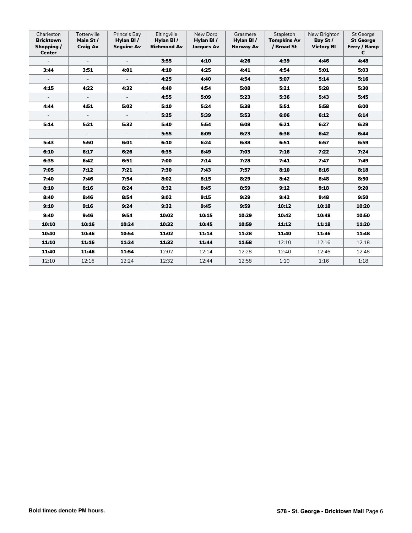| Charleston<br><b>Bricktown</b><br>Shopping /<br><b>Center</b> | Tottenville<br>Main St /<br><b>Craig Av</b> | Prince's Bay<br>Hylan BI/<br><b>Seguine Av</b> | Eltingville<br>Hylan BI/<br><b>Richmond Av</b> | New Dorp<br>Hylan BI/<br><b>Jacques Av</b> | Grasmere<br>Hylan BI/<br><b>Norway Av</b> | Stapleton<br><b>Tompkins Av</b><br>/ Broad St | New Brighton<br>Bay St /<br><b>Victory BI</b> | <b>St George</b><br><b>St George</b><br>Ferry / Ramp<br>C |
|---------------------------------------------------------------|---------------------------------------------|------------------------------------------------|------------------------------------------------|--------------------------------------------|-------------------------------------------|-----------------------------------------------|-----------------------------------------------|-----------------------------------------------------------|
| $\overline{\phantom{a}}$                                      |                                             |                                                | 3:55                                           | 4:10                                       | 4:26                                      | 4:39                                          | 4:46                                          | 4:48                                                      |
| 3:44                                                          | 3:51                                        | 4:01                                           | 4:10                                           | 4:25                                       | 4:41                                      | 4:54                                          | 5:01                                          | 5:03                                                      |
|                                                               | $\sim$                                      | $\mathcal{L}_{\mathcal{A}}$                    | 4:25                                           | 4:40                                       | 4:54                                      | 5:07                                          | 5:14                                          | 5:16                                                      |
| 4:15                                                          | 4:22                                        | 4:32                                           | 4:40                                           | 4:54                                       | 5:08                                      | 5:21                                          | 5:28                                          | 5:30                                                      |
| $\sim$                                                        | $\sim$                                      | $\sim$                                         | 4:55                                           | 5:09                                       | 5:23                                      | 5:36                                          | 5:43                                          | 5:45                                                      |
| 4:44                                                          | 4:51                                        | 5:02                                           | 5:10                                           | 5:24                                       | 5:38                                      | 5:51                                          | 5:58                                          | 6:00                                                      |
| $\sim$                                                        | $\sim$                                      | $\overline{\phantom{a}}$                       | 5:25                                           | 5:39                                       | 5:53                                      | 6:06                                          | 6:12                                          | 6:14                                                      |
| 5:14                                                          | 5:21                                        | 5:32                                           | 5:40                                           | 5:54                                       | 6:08                                      | 6:21                                          | 6:27                                          | 6:29                                                      |
| $\overline{\phantom{a}}$                                      | $\sim$                                      | $\overline{\phantom{a}}$                       | 5:55                                           | 6:09                                       | 6:23                                      | 6:36                                          | 6:42                                          | 6:44                                                      |
| 5:43                                                          | 5:50                                        | 6:01                                           | 6:10                                           | 6:24                                       | 6:38                                      | 6:51                                          | 6:57                                          | 6:59                                                      |
| 6:10                                                          | 6:17                                        | 6:26                                           | 6:35                                           | 6:49                                       | 7:03                                      | 7:16                                          | 7:22                                          | 7:24                                                      |
| 6:35                                                          | 6:42                                        | 6:51                                           | 7:00                                           | 7:14                                       | 7:28                                      | 7:41                                          | 7:47                                          | 7:49                                                      |
| 7:05                                                          | 7:12                                        | 7:21                                           | 7:30                                           | 7:43                                       | 7:57                                      | 8:10                                          | 8:16                                          | 8:18                                                      |
| 7:40                                                          | 7:46                                        | 7:54                                           | 8:02                                           | 8:15                                       | 8:29                                      | 8:42                                          | 8:48                                          | 8:50                                                      |
| 8:10                                                          | 8:16                                        | 8:24                                           | 8:32                                           | 8:45                                       | 8:59                                      | 9:12                                          | 9:18                                          | 9:20                                                      |
| 8:40                                                          | 8:46                                        | 8:54                                           | 9:02                                           | 9:15                                       | 9:29                                      | 9:42                                          | 9:48                                          | 9:50                                                      |
| 9:10                                                          | 9:16                                        | 9:24                                           | 9:32                                           | 9:45                                       | 9:59                                      | 10:12                                         | 10:18                                         | 10:20                                                     |
| 9:40                                                          | 9:46                                        | 9:54                                           | 10:02                                          | 10:15                                      | 10:29                                     | 10:42                                         | 10:48                                         | 10:50                                                     |
| 10:10                                                         | 10:16                                       | 10:24                                          | 10:32                                          | 10:45                                      | 10:59                                     | 11:12                                         | 11:18                                         | 11:20                                                     |
| 10:40                                                         | 10:46                                       | 10:54                                          | 11:02                                          | 11:14                                      | 11:28                                     | 11:40                                         | 11:46                                         | 11:48                                                     |
| 11:10                                                         | 11:16                                       | 11:24                                          | 11:32                                          | 11:44                                      | 11:58                                     | 12:10                                         | 12:16                                         | 12:18                                                     |
| 11:40                                                         | 11:46                                       | 11:54                                          | 12:02                                          | 12:14                                      | 12:28                                     | 12:40                                         | 12:46                                         | 12:48                                                     |
| 12:10                                                         | 12:16                                       | 12:24                                          | 12:32                                          | 12:44                                      | 12:58                                     | 1:10                                          | 1:16                                          | 1:18                                                      |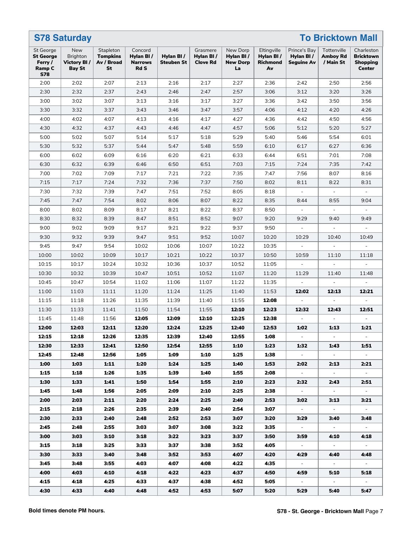|                                                                  | <b>S78 Saturday</b>                             |                                                  |                                                       |                                |                                          |                                                |                                            |                                                | <b>To Bricktown Mall</b>                    |                                                             |  |  |  |  |
|------------------------------------------------------------------|-------------------------------------------------|--------------------------------------------------|-------------------------------------------------------|--------------------------------|------------------------------------------|------------------------------------------------|--------------------------------------------|------------------------------------------------|---------------------------------------------|-------------------------------------------------------------|--|--|--|--|
| St George<br><b>St George</b><br>Ferry /<br>Ramp C<br><b>S78</b> | New<br><b>Brighton</b><br>Victory BI/<br>Bay St | Stapleton<br><b>Tompkins</b><br>Av / Broad<br>St | Concord<br>Hylan BI/<br><b>Narrows</b><br><b>Rd S</b> | Hylan BI/<br><b>Steuben St</b> | Grasmere<br>Hylan BI/<br><b>Clove Rd</b> | New Dorp<br>Hylan BI/<br><b>New Dorp</b><br>La | Eltingville<br>Hylan BI/<br>Richmond<br>Av | Prince's Bay<br>Hylan BI/<br><b>Seguine Av</b> | Tottenville<br><b>Amboy Rd</b><br>/ Main St | Charleston<br><b>Bricktown</b><br><b>Shopping</b><br>Center |  |  |  |  |
| 2:00                                                             | 2:02                                            | 2:07                                             | 2:13                                                  | 2:16                           | 2:17                                     | 2:27                                           | 2:36                                       | 2:42                                           | 2:50                                        | 2:56                                                        |  |  |  |  |
| 2:30                                                             | 2:32                                            | 2:37                                             | 2:43                                                  | 2:46                           | 2:47                                     | 2:57                                           | 3:06                                       | 3:12                                           | 3:20                                        | 3:26                                                        |  |  |  |  |
| 3:00                                                             | 3:02                                            | 3:07                                             | 3:13                                                  | 3:16                           | 3:17                                     | 3:27                                           | 3:36                                       | 3:42                                           | 3:50                                        | 3:56                                                        |  |  |  |  |
| 3:30                                                             | 3:32                                            | 3:37                                             | 3:43                                                  | 3:46                           | 3:47                                     | 3:57                                           | 4:06                                       | 4:12                                           | 4:20                                        | 4:26                                                        |  |  |  |  |
| 4:00                                                             | 4:02                                            | 4:07                                             | 4:13                                                  | 4:16                           | 4:17                                     | 4:27                                           | 4:36                                       | 4:42                                           | 4:50                                        | 4:56                                                        |  |  |  |  |
| 4:30                                                             | 4:32                                            | 4:37                                             | 4:43                                                  | 4:46                           | 4:47                                     | 4:57                                           | 5:06                                       | 5:12                                           | 5:20                                        | 5:27                                                        |  |  |  |  |
| 5:00                                                             | 5:02                                            | 5:07                                             | 5:14                                                  | 5:17                           | 5:18                                     | 5:29                                           | 5:40                                       | 5:46                                           | 5:54                                        | 6:01                                                        |  |  |  |  |
| 5:30                                                             | 5:32                                            | 5:37                                             | 5:44                                                  | 5:47                           | 5:48                                     | 5:59                                           | 6:10                                       | 6:17                                           | 6:27                                        | 6:36                                                        |  |  |  |  |
| 6:00                                                             | 6:02                                            | 6:09                                             | 6:16                                                  | 6:20                           | 6:21                                     | 6:33                                           | 6:44                                       | 6:51                                           | 7:01                                        | 7:08                                                        |  |  |  |  |
| 6:30                                                             | 6:32                                            | 6:39                                             | 6:46                                                  | 6:50                           | 6:51                                     | 7:03                                           | 7:15                                       | 7:24                                           | 7:35                                        | 7:42                                                        |  |  |  |  |
| 7:00                                                             | 7:02                                            | 7:09                                             | 7:17                                                  | 7:21                           | 7:22                                     | 7:35                                           | 7:47                                       | 7:56                                           | 8:07                                        | 8:16                                                        |  |  |  |  |
| 7:15                                                             | 7:17                                            | 7:24                                             | 7:32                                                  | 7:36                           | 7:37                                     | 7:50                                           | 8:02                                       | 8:11                                           | 8:22                                        | 8:31                                                        |  |  |  |  |
| 7:30                                                             | 7:32                                            | 7:39                                             | 7:47                                                  | 7:51                           | 7:52                                     | 8:05                                           | 8:18                                       |                                                | $\blacksquare$                              |                                                             |  |  |  |  |
| 7:45                                                             | 7:47                                            | 7:54                                             | 8:02                                                  | 8:06                           | 8:07                                     | 8:22                                           | 8:35                                       | 8:44                                           | 8:55                                        | 9:04                                                        |  |  |  |  |
| 8:00                                                             | 8:02                                            | 8:09                                             | 8:17                                                  | 8:21                           | 8:22                                     | 8:37                                           | 8:50                                       |                                                |                                             |                                                             |  |  |  |  |
| 8:30                                                             | 8:32                                            | 8:39                                             | 8:47                                                  | 8:51                           | 8:52                                     | 9:07                                           | 9:20                                       | 9:29                                           | 9:40                                        | 9:49                                                        |  |  |  |  |
| 9:00                                                             | 9:02                                            | 9:09                                             | 9:17                                                  | 9:21                           | 9:22                                     | 9:37                                           | 9:50                                       | $\overline{\phantom{a}}$                       | $\blacksquare$                              | $\blacksquare$                                              |  |  |  |  |
| 9:30                                                             | 9:32                                            | 9:39                                             | 9:47                                                  | 9:51                           | 9:52                                     | 10:07                                          | 10:20                                      | 10:29                                          | 10:40                                       | 10:49                                                       |  |  |  |  |
| 9:45                                                             | 9:47                                            | 9:54                                             | 10:02                                                 | 10:06                          | 10:07                                    | 10:22                                          | 10:35                                      |                                                |                                             |                                                             |  |  |  |  |
| 10:00                                                            | 10:02                                           | 10:09                                            | 10:17                                                 | 10:21                          | 10:22                                    | 10:37                                          | 10:50                                      | 10:59                                          | 11:10                                       | 11:18                                                       |  |  |  |  |
| 10:15                                                            | 10:17                                           | 10:24                                            | 10:32                                                 | 10:36                          | 10:37                                    | 10:52                                          | 11:05                                      |                                                | $\blacksquare$                              |                                                             |  |  |  |  |
| 10:30                                                            | 10:32                                           | 10:39                                            | 10:47                                                 | 10:51                          | 10:52                                    | 11:07                                          | 11:20                                      | 11:29                                          | 11:40                                       | 11:48                                                       |  |  |  |  |
| 10:45                                                            | 10:47                                           | 10:54                                            | 11:02                                                 | 11:06                          | 11:07                                    | 11:22                                          | 11:35                                      |                                                |                                             |                                                             |  |  |  |  |
| 11:00                                                            | 11:03                                           | 11:11                                            | 11:20                                                 | 11:24                          | 11:25                                    | 11:40                                          | 11:53                                      | 12:02                                          | 12:13                                       | 12:21                                                       |  |  |  |  |
| 11:15                                                            | 11:18                                           | 11:26                                            | 11:35                                                 | 11:39                          | 11:40                                    | 11:55                                          | 12:08                                      |                                                | $\blacksquare$                              |                                                             |  |  |  |  |
| 11:30                                                            | 11:33                                           | 11:41                                            | 11:50                                                 | 11:54                          | 11:55                                    | 12:10                                          | 12:23                                      | 12:32                                          | 12:43                                       | 12:51                                                       |  |  |  |  |
| 11:45                                                            | 11:48                                           | 11:56                                            | 12:05                                                 | 12:09                          | 12:10                                    | 12:25                                          | 12:38                                      |                                                |                                             |                                                             |  |  |  |  |
| 12:00                                                            | 12:03                                           | 12:11                                            | 12:20                                                 | 12:24                          | 12:25                                    | 12:40                                          | 12:53                                      | 1:02                                           | 1:13                                        | 1:21                                                        |  |  |  |  |
| 12:15                                                            | 12:18                                           | 12:26                                            | 12:35                                                 | 12:39                          | 12:40                                    | 12:55                                          | 1:08                                       | $\sim$                                         |                                             |                                                             |  |  |  |  |
| 12:30                                                            | 12:33                                           | 12:41                                            | 12:50                                                 | 12:54                          | 12:55                                    | 1:10                                           | 1:23                                       | 1:32                                           | 1:43                                        | 1:51                                                        |  |  |  |  |
| 12:45                                                            | 12:48                                           | 12:56                                            | 1:05                                                  | 1:09                           | 1:10                                     | 1:25                                           | 1:38                                       | $\sim$                                         | $\sim$                                      | $\sim$                                                      |  |  |  |  |
| 1:00                                                             | 1:03                                            | 1:11                                             | 1:20                                                  | 1:24                           | 1:25                                     | 1:40                                           | 1:53                                       | 2:02                                           | 2:13                                        | 2:21                                                        |  |  |  |  |
| 1:15                                                             | 1:18                                            | 1:26                                             | 1:35                                                  | 1:39                           | 1:40                                     | 1:55                                           | 2:08                                       | $\sim$                                         | $\sim$                                      | $\sim$                                                      |  |  |  |  |
| 1:30                                                             | 1:33                                            | 1:41                                             | 1:50                                                  | 1:54                           | 1:55                                     | 2:10                                           | 2:23                                       | 2:32                                           | 2:43                                        | 2:51                                                        |  |  |  |  |
| 1:45                                                             | 1:48                                            | 1:56                                             | 2:05                                                  | 2:09                           | 2:10                                     | 2:25                                           | 2:38                                       | $\sim$                                         | $\sim$                                      | $\sim$                                                      |  |  |  |  |
| 2:00                                                             | 2:03                                            | 2:11                                             | 2:20                                                  | 2:24                           | 2:25                                     | 2:40                                           | 2:53                                       | 3:02                                           | 3:13                                        | 3:21                                                        |  |  |  |  |
| 2:15                                                             | 2:18                                            | 2:26                                             | 2:35                                                  | 2:39                           | 2:40                                     | 2:54                                           | 3:07                                       | $\sim$                                         | $\sim$                                      | $\sim$                                                      |  |  |  |  |
| 2:30                                                             | 2:33                                            | 2:40                                             | 2:48                                                  | 2:52                           | 2:53                                     | 3:07                                           | 3:20                                       | 3:29                                           | 3:40                                        | 3:48                                                        |  |  |  |  |
| 2:45                                                             | 2:48                                            | 2:55                                             | 3:03                                                  | 3:07                           | 3:08                                     | 3:22                                           | 3:35                                       | $\sim$                                         | $\sim$                                      | $\sim$                                                      |  |  |  |  |
| 3:00                                                             | 3:03                                            | 3:10                                             | 3:18                                                  | 3:22                           | 3:23                                     | 3:37                                           | 3:50                                       | 3:59                                           | 4:10                                        | 4:18                                                        |  |  |  |  |
| 3:15                                                             | 3:18                                            | 3:25                                             | 3:33                                                  | 3:37                           | 3:38                                     | 3:52                                           | 4:05                                       | $\sim$                                         | $\sim$                                      | $\sim$                                                      |  |  |  |  |
| 3:30                                                             | 3:33                                            | 3:40                                             | 3:48                                                  | 3:52                           | 3:53                                     | 4:07                                           | 4:20                                       | 4:29                                           | 4:40                                        | 4:48                                                        |  |  |  |  |
| 3:45                                                             | 3:48                                            | 3:55                                             | 4:03                                                  | 4:07                           | 4:08                                     | 4:22                                           | 4:35                                       | $\sim$                                         | $\sim$ $-$                                  | $\sim$                                                      |  |  |  |  |
| 4:00                                                             | 4:03                                            | 4:10                                             | 4:18                                                  | 4:22                           | 4:23                                     | 4:37                                           | 4:50                                       | 4:59                                           | 5:10                                        | 5:18                                                        |  |  |  |  |
| 4:15                                                             | 4:18                                            | 4:25                                             | 4:33                                                  | 4:37                           | 4:38                                     | 4:52                                           | 5:05                                       | $\sim$                                         | $\sim$                                      | $\sim$                                                      |  |  |  |  |
| 4:30                                                             | 4:33                                            | 4:40                                             | 4:48                                                  | 4:52                           | 4:53                                     | 5:07                                           | 5:20                                       | 5:29                                           | 5:40                                        | 5:47                                                        |  |  |  |  |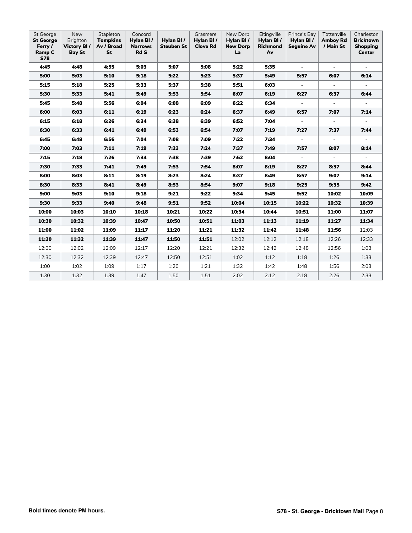| St George<br><b>St George</b><br>Ferry /<br>Ramp C<br><b>S78</b> | <b>New</b><br>Brighton<br>Victory BI/<br><b>Bay St</b> | Stapleton<br><b>Tompkins</b><br>Av / Broad<br><b>St</b> | Concord<br>Hylan BI/<br><b>Narrows</b><br><b>Rd S</b> | Hylan BI/<br><b>Steuben St</b> | Grasmere<br>Hylan BI/<br><b>Clove Rd</b> | New Dorp<br>Hylan BI/<br><b>New Dorp</b><br>La | Eltingville<br>Hylan BI/<br><b>Richmond</b><br>Av | Prince's Bay<br>Hylan BI/<br><b>Seguine Av</b> | Tottenville<br><b>Amboy Rd</b><br>/ Main St | Charleston<br><b>Bricktown</b><br><b>Shopping</b><br><b>Center</b> |
|------------------------------------------------------------------|--------------------------------------------------------|---------------------------------------------------------|-------------------------------------------------------|--------------------------------|------------------------------------------|------------------------------------------------|---------------------------------------------------|------------------------------------------------|---------------------------------------------|--------------------------------------------------------------------|
| 4:45                                                             | 4:48                                                   | 4:55                                                    | 5:03                                                  | 5:07                           | 5:08                                     | 5:22                                           | 5:35                                              |                                                |                                             |                                                                    |
| 5:00                                                             | 5:03                                                   | 5:10                                                    | 5:18                                                  | 5:22                           | 5:23                                     | 5:37                                           | 5:49                                              | 5:57                                           | 6:07                                        | 6:14                                                               |
| 5:15                                                             | 5:18                                                   | 5:25                                                    | 5:33                                                  | 5:37                           | 5:38                                     | 5:51                                           | 6:03                                              | $\sim$                                         | $\sim$                                      | $\sim$                                                             |
| 5:30                                                             | 5:33                                                   | 5:41                                                    | 5:49                                                  | 5:53                           | 5:54                                     | 6:07                                           | 6:19                                              | 6:27                                           | 6:37                                        | 6:44                                                               |
| 5:45                                                             | 5:48                                                   | 5:56                                                    | 6:04                                                  | 6:08                           | 6:09                                     | 6:22                                           | 6:34                                              | $\sim$                                         | $\sim$                                      | $\sim$                                                             |
| 6:00                                                             | 6:03                                                   | 6:11                                                    | 6:19                                                  | 6:23                           | 6:24                                     | 6:37                                           | 6:49                                              | 6:57                                           | 7:07                                        | 7:14                                                               |
| 6:15                                                             | 6:18                                                   | 6:26                                                    | 6:34                                                  | 6:38                           | 6:39                                     | 6:52                                           | 7:04                                              | $\sim$                                         | $\blacksquare$                              | $\sim$                                                             |
| 6:30                                                             | 6:33                                                   | 6:41                                                    | 6:49                                                  | 6:53                           | 6:54                                     | 7:07                                           | 7:19                                              | 7:27                                           | 7:37                                        | 7:44                                                               |
| 6:45                                                             | 6:48                                                   | 6:56                                                    | 7:04                                                  | 7:08                           | 7:09                                     | 7:22                                           | 7:34                                              | $\sim$                                         | $\sim$                                      | $\sim$                                                             |
| 7:00                                                             | 7:03                                                   | 7:11                                                    | 7:19                                                  | 7:23                           | 7:24                                     | 7:37                                           | 7:49                                              | 7:57                                           | 8:07                                        | 8:14                                                               |
| 7:15                                                             | 7:18                                                   | 7:26                                                    | 7:34                                                  | 7:38                           | 7:39                                     | 7:52                                           | 8:04                                              | $\sim$                                         | $\sim$                                      | $\sim$                                                             |
| 7:30                                                             | 7:33                                                   | 7:41                                                    | 7:49                                                  | 7:53                           | 7:54                                     | 8:07                                           | 8:19                                              | 8:27                                           | 8:37                                        | 8:44                                                               |
| 8:00                                                             | 8:03                                                   | 8:11                                                    | 8:19                                                  | 8:23                           | 8:24                                     | 8:37                                           | 8:49                                              | 8:57                                           | 9:07                                        | 9:14                                                               |
| 8:30                                                             | 8:33                                                   | 8:41                                                    | 8:49                                                  | 8:53                           | 8:54                                     | 9:07                                           | 9:18                                              | 9:25                                           | 9:35                                        | 9:42                                                               |
| 9:00                                                             | 9:03                                                   | 9:10                                                    | 9:18                                                  | 9:21                           | 9:22                                     | 9:34                                           | 9:45                                              | 9:52                                           | 10:02                                       | 10:09                                                              |
| 9:30                                                             | 9:33                                                   | 9:40                                                    | 9:48                                                  | 9:51                           | 9:52                                     | 10:04                                          | 10:15                                             | 10:22                                          | 10:32                                       | 10:39                                                              |
| 10:00                                                            | 10:03                                                  | 10:10                                                   | 10:18                                                 | 10:21                          | 10:22                                    | 10:34                                          | 10:44                                             | 10:51                                          | 11:00                                       | 11:07                                                              |
| 10:30                                                            | 10:32                                                  | 10:39                                                   | 10:47                                                 | 10:50                          | 10:51                                    | 11:03                                          | 11:13                                             | 11:19                                          | 11:27                                       | 11:34                                                              |
| 11:00                                                            | 11:02                                                  | 11:09                                                   | 11:17                                                 | 11:20                          | 11:21                                    | 11:32                                          | 11:42                                             | 11:48                                          | 11:56                                       | 12:03                                                              |
| 11:30                                                            | 11:32                                                  | 11:39                                                   | 11:47                                                 | 11:50                          | 11:51                                    | 12:02                                          | 12:12                                             | 12:18                                          | 12:26                                       | 12:33                                                              |
| 12:00                                                            | 12:02                                                  | 12:09                                                   | 12:17                                                 | 12:20                          | 12:21                                    | 12:32                                          | 12:42                                             | 12:48                                          | 12:56                                       | 1:03                                                               |
| 12:30                                                            | 12:32                                                  | 12:39                                                   | 12:47                                                 | 12:50                          | 12:51                                    | 1:02                                           | 1:12                                              | 1:18                                           | 1:26                                        | 1:33                                                               |
| 1:00                                                             | 1:02                                                   | 1:09                                                    | 1:17                                                  | 1:20                           | 1:21                                     | 1:32                                           | 1:42                                              | 1:48                                           | 1:56                                        | 2:03                                                               |
| 1:30                                                             | 1:32                                                   | 1:39                                                    | 1:47                                                  | 1:50                           | 1:51                                     | 2:02                                           | 2:12                                              | 2:18                                           | 2:26                                        | 2:33                                                               |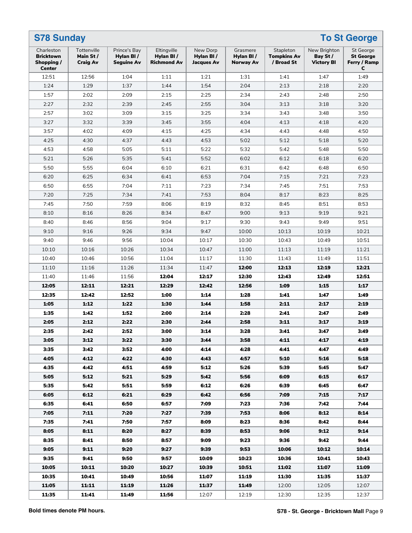| <b>S78 Sunday</b>                                             |                                            | <b>To St George</b>                            |                                                |                                            |                                    |                                               |                                               |                                                           |  |  |
|---------------------------------------------------------------|--------------------------------------------|------------------------------------------------|------------------------------------------------|--------------------------------------------|------------------------------------|-----------------------------------------------|-----------------------------------------------|-----------------------------------------------------------|--|--|
| Charleston<br><b>Bricktown</b><br>Shopping /<br><b>Center</b> | Tottenville<br>Main St/<br><b>Craig Av</b> | Prince's Bay<br>Hylan BI/<br><b>Seguine Av</b> | Eltingville<br>Hylan BI/<br><b>Richmond Av</b> | New Dorp<br>Hylan BI/<br><b>Jacques Av</b> | Grasmere<br>Hylan BI/<br>Norway Av | Stapleton<br><b>Tompkins Av</b><br>/ Broad St | New Brighton<br>Bay St /<br><b>Victory BI</b> | <b>St George</b><br><b>St George</b><br>Ferry / Ramp<br>C |  |  |
| 12:51                                                         | 12:56                                      | 1:04                                           | 1:11                                           | 1:21                                       | 1:31                               | 1:41                                          | 1:47                                          | 1:49                                                      |  |  |
| 1:24                                                          | 1:29                                       | 1:37                                           | 1:44                                           | 1:54                                       | 2:04                               | 2:13                                          | 2:18                                          | 2:20                                                      |  |  |
| 1:57                                                          | 2:02                                       | 2:09                                           | 2:15                                           | 2:25                                       | 2:34                               | 2:43                                          | 2:48                                          | 2:50                                                      |  |  |
| 2:27                                                          | 2:32                                       | 2:39                                           | 2:45                                           | 2:55                                       | 3:04                               | 3:13                                          | 3:18                                          | 3:20                                                      |  |  |
| 2:57                                                          | 3:02                                       | 3:09                                           | 3:15                                           | 3:25                                       | 3:34                               | 3:43                                          | 3:48                                          | 3:50                                                      |  |  |
| 3:27                                                          | 3:32                                       | 3:39                                           | 3:45                                           | 3:55                                       | 4:04                               | 4:13                                          | 4:18                                          | 4:20                                                      |  |  |
| 3:57                                                          | 4:02                                       | 4:09                                           | 4:15                                           | 4:25                                       | 4:34                               | 4:43                                          | 4:48                                          | 4:50                                                      |  |  |
| 4:25                                                          | 4:30                                       | 4:37                                           | 4:43                                           | 4:53                                       | 5:02                               | 5:12                                          | 5:18                                          | 5:20                                                      |  |  |
| 4:53                                                          | 4:58                                       | 5:05                                           | 5:11                                           | 5:22                                       | 5:32                               | 5:42                                          | 5:48                                          | 5:50                                                      |  |  |
| 5:21                                                          | 5:26                                       | 5:35                                           | 5:41                                           | 5:52                                       | 6:02                               | 6:12                                          | 6:18                                          | 6:20                                                      |  |  |
| 5:50                                                          | 5:55                                       | 6:04                                           | 6:10                                           | 6:21                                       | 6:31                               | 6:42                                          | 6:48                                          | 6:50                                                      |  |  |
|                                                               |                                            |                                                |                                                |                                            |                                    |                                               |                                               |                                                           |  |  |
| 6:20                                                          | 6:25                                       | 6:34                                           | 6:41                                           | 6:53                                       | 7:04                               | 7:15                                          | 7:21                                          | 7:23                                                      |  |  |
| 6:50                                                          | 6:55                                       | 7:04                                           | 7:11                                           | 7:23                                       | 7:34                               | 7:45                                          | 7:51                                          | 7:53                                                      |  |  |
| 7:20                                                          | 7:25                                       | 7:34                                           | 7:41                                           | 7:53                                       | 8:04                               | 8:17                                          | 8:23                                          | 8:25                                                      |  |  |
| 7:45                                                          | 7:50                                       | 7:59                                           | 8:06                                           | 8:19                                       | 8:32                               | 8:45                                          | 8:51                                          | 8:53                                                      |  |  |
| 8:10                                                          | 8:16                                       | 8:26                                           | 8:34                                           | 8:47                                       | 9:00                               | 9:13                                          | 9:19                                          | 9:21                                                      |  |  |
| 8:40                                                          | 8:46                                       | 8:56                                           | 9:04                                           | 9:17                                       | 9:30                               | 9:43                                          | 9:49                                          | 9:51                                                      |  |  |
| 9:10                                                          | 9:16                                       | 9:26                                           | 9:34                                           | 9:47                                       | 10:00                              | 10:13                                         | 10:19                                         | 10:21                                                     |  |  |
| 9:40                                                          | 9:46                                       | 9:56                                           | 10:04                                          | 10:17                                      | 10:30                              | 10:43                                         | 10:49                                         | 10:51                                                     |  |  |
| 10:10                                                         | 10:16                                      | 10:26                                          | 10:34                                          | 10:47                                      | 11:00                              | 11:13                                         | 11:19                                         | 11:21                                                     |  |  |
| 10:40                                                         | 10:46                                      | 10:56                                          | 11:04                                          | 11:17                                      | 11:30                              | 11:43                                         | 11:49                                         | 11:51                                                     |  |  |
| 11:10                                                         | 11:16                                      | 11:26                                          | 11:34                                          | 11:47                                      | 12:00                              | 12:13                                         | 12:19                                         | 12:21                                                     |  |  |
| 11:40                                                         | 11:46                                      | 11:56                                          | 12:04                                          | 12:17                                      | 12:30                              | 12:43                                         | 12:49                                         | 12:51                                                     |  |  |
| 12:05                                                         | 12:11                                      | 12:21                                          | 12:29                                          | 12:42                                      | 12:56                              | 1:09                                          | 1:15                                          | 1:17                                                      |  |  |
| 12:35                                                         | 12:42                                      | 12:52                                          | 1:00                                           | 1:14                                       | 1:28                               | 1:41                                          | 1:47                                          | 1:49                                                      |  |  |
| 1:05                                                          | 1:12                                       | 1:22                                           | 1:30                                           | 1:44                                       | 1:58                               | 2:11                                          | 2:17                                          | 2:19                                                      |  |  |
| 1:35                                                          | 1:42                                       | 1:52                                           | 2:00                                           | 2:14                                       | 2:28                               | 2:41                                          | 2:47                                          | 2:49                                                      |  |  |
| 2:05                                                          | 2:12                                       | 2:22                                           | 2:30                                           | 2:44                                       | 2:58                               | 3:11                                          | 3:17                                          | 3:19                                                      |  |  |
| 2:35                                                          | 2:42                                       | 2:52                                           | 3:00                                           | 3:14                                       | 3:28                               | 3:41                                          | 3:47                                          | 3:49                                                      |  |  |
| 3:05                                                          | 3:12                                       | 3:22                                           | 3:30                                           | 3:44                                       | 3:58                               | 4:11                                          | 4:17                                          | 4:19                                                      |  |  |
| 3:35                                                          | 3:42                                       | 3:52                                           | 4:00                                           | 4:14                                       | 4:28                               | 4:41                                          | 4:47                                          | 4:49                                                      |  |  |
| 4:05                                                          | 4:12                                       | 4:22                                           | 4:30                                           | 4:43                                       | 4:57                               | 5:10                                          | 5:16                                          | 5:18                                                      |  |  |
| 4:35                                                          | 4:42                                       | 4:51                                           | 4:59                                           | 5:12                                       | 5:26                               | 5:39                                          | 5:45                                          | 5:47                                                      |  |  |
| 5:05                                                          | 5:12                                       | 5:21                                           | 5:29                                           | 5:42                                       | 5:56                               | 6:09                                          | 6:15                                          | 6:17                                                      |  |  |
|                                                               |                                            |                                                |                                                |                                            |                                    |                                               |                                               |                                                           |  |  |
| 5:35                                                          | 5:42                                       | 5:51                                           | 5:59                                           | 6:12                                       | 6:26                               | 6:39                                          | 6:45                                          | 6:47                                                      |  |  |
| 6:05                                                          | 6:12                                       | 6:21                                           | 6:29                                           | 6:42                                       | 6:56                               | 7:09                                          | 7:15                                          | 7:17                                                      |  |  |
| 6:35                                                          | 6:41                                       | 6:50                                           | 6:57                                           | 7:09                                       | 7:23                               | 7:36                                          | 7:42                                          | 7:44                                                      |  |  |
| 7:05                                                          | 7:11                                       | 7:20                                           | 7:27                                           | 7:39                                       | 7:53                               | 8:06                                          | 8:12                                          | 8:14                                                      |  |  |
| 7:35                                                          | 7:41                                       | 7:50                                           | 7:57                                           | 8:09                                       | 8:23                               | 8:36                                          | 8:42                                          | 8:44                                                      |  |  |
| 8:05                                                          | 8:11                                       | 8:20                                           | 8:27                                           | 8:39                                       | 8:53                               | 9:06                                          | 9:12                                          | 9:14                                                      |  |  |
| 8:35                                                          | 8:41                                       | 8:50                                           | 8:57                                           | 9:09                                       | 9:23                               | 9:36                                          | 9:42                                          | 9:44                                                      |  |  |
| 9:05                                                          | 9:11                                       | 9:20                                           | 9:27                                           | 9:39                                       | 9:53                               | 10:06                                         | 10:12                                         | 10:14                                                     |  |  |
| 9:35                                                          | 9:41                                       | 9:50                                           | 9:57                                           | 10:09                                      | 10:23                              | 10:36                                         | 10:41                                         | 10:43                                                     |  |  |
| 10:05                                                         | 10:11                                      | 10:20                                          | 10:27                                          | 10:39                                      | 10:51                              | 11:02                                         | 11:07                                         | 11:09                                                     |  |  |
| 10:35                                                         | 10:41                                      | 10:49                                          | 10:56                                          | 11:07                                      | 11:19                              | 11:30                                         | 11:35                                         | 11:37                                                     |  |  |
| 11:05                                                         | 11:11                                      | 11:19                                          | 11:26                                          | 11:37                                      | 11:49                              | 12:00                                         | 12:05                                         | 12:07                                                     |  |  |
| 11:35                                                         | 11:41                                      | 11:49                                          | 11:56                                          | 12:07                                      | 12:19                              | 12:30                                         | 12:35                                         | 12:37                                                     |  |  |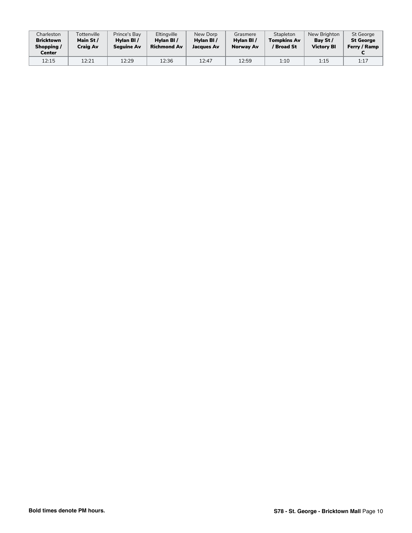| Charleston<br><b>Bricktown</b><br>Shopping/<br>Center | Tottenville<br>Main St/<br>Craig Av | Prince's Bay<br>Hylan BI/<br><b>Sequine Av</b> | Eltingville<br>Hylan BI/<br><b>Richmond Av</b> | New Dorp<br>Hylan BI/<br>Jacques Av | Grasmere<br>Hylan BI/<br>Norway Av | Stapleton<br><b>Tompkins Av</b><br>' Broad St | New Brighton<br>Bay St /<br><b>Victory BI</b> | St George<br><b>St George</b><br>Ferry / Ramp |
|-------------------------------------------------------|-------------------------------------|------------------------------------------------|------------------------------------------------|-------------------------------------|------------------------------------|-----------------------------------------------|-----------------------------------------------|-----------------------------------------------|
| 12:15                                                 | 12:21                               | 12:29                                          | 12:36                                          | 12:47                               | 12:59                              | 1:10                                          | 1:15                                          | 1:17                                          |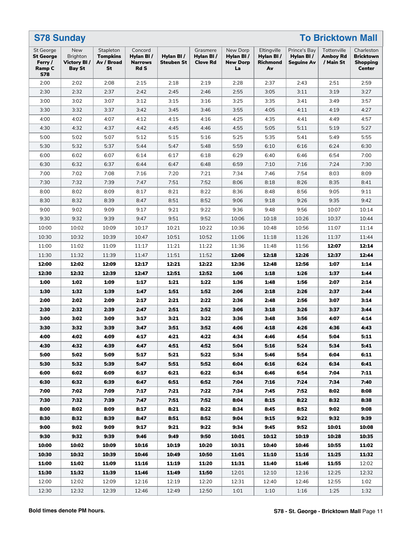| <b>To Bricktown Mall</b><br><b>S78 Sunday</b>                           |                                                        |                                                  |                                                |                         |                                          |                                                |                                            |                                         |                                             |                                                             |
|-------------------------------------------------------------------------|--------------------------------------------------------|--------------------------------------------------|------------------------------------------------|-------------------------|------------------------------------------|------------------------------------------------|--------------------------------------------|-----------------------------------------|---------------------------------------------|-------------------------------------------------------------|
| <b>St George</b><br><b>St George</b><br>Ferry /<br>Ramp C<br><b>S78</b> | New<br><b>Brighton</b><br>Victory BI/<br><b>Bay St</b> | Stapleton<br><b>Tompkins</b><br>Av / Broad<br>St | Concord<br>Hylan BI/<br><b>Narrows</b><br>Rd S | Hylan BI/<br>Steuben St | Grasmere<br>Hylan BI/<br><b>Clove Rd</b> | New Dorp<br>Hylan BI/<br><b>New Dorp</b><br>La | Eltingville<br>Hylan BI/<br>Richmond<br>Av | Prince's Bay<br>Hylan BI/<br>Seguine Av | Tottenville<br><b>Amboy Rd</b><br>/ Main St | Charleston<br><b>Bricktown</b><br><b>Shopping</b><br>Center |
| 2:00                                                                    | 2:02                                                   | 2:08                                             | 2:15                                           | 2:18                    | 2:19                                     | 2:28                                           | 2:37                                       | 2:43                                    | 2:51                                        | 2:59                                                        |
| 2:30                                                                    | 2:32                                                   | 2:37                                             | 2:42                                           | 2:45                    | 2:46                                     | 2:55                                           | 3:05                                       | 3:11                                    | 3:19                                        | 3:27                                                        |
| 3:00                                                                    | 3:02                                                   | 3:07                                             | 3:12                                           | 3:15                    | 3:16                                     | 3:25                                           | 3:35                                       | 3:41                                    | 3:49                                        | 3:57                                                        |
| 3:30                                                                    | 3:32                                                   | 3:37                                             | 3:42                                           | 3:45                    | 3:46                                     | 3:55                                           | 4:05                                       | 4:11                                    | 4:19                                        | 4:27                                                        |
| 4:00                                                                    | 4:02                                                   | 4:07                                             | 4:12                                           | 4:15                    | 4:16                                     | 4:25                                           | 4:35                                       | 4:41                                    | 4:49                                        | 4:57                                                        |
| 4:30                                                                    | 4:32                                                   | 4:37                                             | 4:42                                           | 4:45                    | 4:46                                     | 4:55                                           | 5:05                                       | 5:11                                    | 5:19                                        | 5:27                                                        |
| 5:00                                                                    | 5:02                                                   | 5:07                                             | 5:12                                           | 5:15                    | 5:16                                     | 5:25                                           | 5:35                                       | 5:41                                    | 5:49                                        | 5:55                                                        |
| 5:30                                                                    | 5:32                                                   | 5:37                                             | 5:44                                           | 5:47                    | 5:48                                     | 5:59                                           | 6:10                                       | 6:16                                    | 6:24                                        | 6:30                                                        |
| 6:00                                                                    | 6:02                                                   | 6:07                                             | 6:14                                           | 6:17                    | 6:18                                     | 6:29                                           | 6:40                                       | 6:46                                    | 6:54                                        | 7:00                                                        |
| 6:30                                                                    | 6:32                                                   | 6:37                                             | 6:44                                           | 6:47                    | 6:48                                     | 6:59                                           | 7:10                                       | 7:16                                    | 7:24                                        | 7:30                                                        |
| 7:00                                                                    | 7:02                                                   | 7:08                                             | 7:16                                           | 7:20                    | 7:21                                     | 7:34                                           | 7:46                                       | 7:54                                    | 8:03                                        | 8:09                                                        |
| 7:30                                                                    | 7:32                                                   | 7:39                                             | 7:47                                           | 7:51                    | 7:52                                     | 8:06                                           | 8:18                                       | 8:26                                    | 8:35                                        | 8:41                                                        |
| 8:00                                                                    | 8:02                                                   | 8:09                                             | 8:17                                           | 8:21                    | 8:22                                     | 8:36                                           | 8:48                                       | 8:56                                    | 9:05                                        | 9:11                                                        |
| 8:30                                                                    | 8:32                                                   | 8:39                                             | 8:47                                           | 8:51                    | 8:52                                     | 9:06                                           | 9:18                                       | 9:26                                    | 9:35                                        | 9:42                                                        |
| 9:00                                                                    | 9:02                                                   | 9:09                                             | 9:17                                           | 9:21                    | 9:22                                     | 9:36                                           | 9:48                                       | 9:56                                    | 10:07                                       | 10:14                                                       |
| 9:30                                                                    | 9:32                                                   | 9:39                                             | 9:47                                           | 9:51                    | 9:52                                     | 10:06                                          | 10:18                                      | 10:26                                   | 10:37                                       | 10:44                                                       |
| 10:00                                                                   | 10:02                                                  | 10:09                                            | 10:17                                          | 10:21                   | 10:22                                    | 10:36                                          | 10:48                                      | 10:56                                   | 11:07                                       | 11:14                                                       |
| 10:30                                                                   | 10:32                                                  | 10:39                                            | 10:47                                          | 10:51                   | 10:52                                    | 11:06                                          | 11:18                                      | 11:26                                   | 11:37                                       | 11:44                                                       |
| 11:00                                                                   | 11:02                                                  | 11:09                                            | 11:17                                          | 11:21                   | 11:22                                    | 11:36                                          | 11:48                                      | 11:56                                   | 12:07                                       | 12:14                                                       |
| 11:30                                                                   | 11:32                                                  | 11:39                                            | 11:47                                          | 11:51                   | 11:52                                    | 12:06                                          | 12:18                                      | 12:26                                   | 12:37                                       | 12:44                                                       |
| 12:00                                                                   | 12:02                                                  | 12:09                                            | 12:17                                          | 12:21                   | 12:22                                    | 12:36                                          | 12:48                                      | 12:56                                   | 1:07                                        | 1:14                                                        |
| 12:30                                                                   | 12:32                                                  | 12:39                                            | 12:47                                          | 12:51                   | 12:52                                    | 1:06                                           | 1:18                                       | 1:26                                    | 1:37                                        | 1:44                                                        |
| 1:00                                                                    | 1:02                                                   | 1:09                                             | 1:17                                           | 1:21                    | 1:22                                     | 1:36                                           | 1:48                                       | 1:56                                    | 2:07                                        | 2:14                                                        |
| 1:30                                                                    | 1:32                                                   | 1:39                                             | 1:47                                           | 1:51                    | 1:52                                     | 2:06                                           | 2:18                                       | 2:26                                    | 2:37                                        | 2:44                                                        |
| 2:00                                                                    | 2:02                                                   | 2:09                                             | 2:17                                           | 2:21                    | 2:22                                     | 2:36                                           | 2:48                                       | 2:56                                    | 3:07                                        | 3:14                                                        |
| 2:30                                                                    | 2:32                                                   | 2:39                                             | 2:47                                           | 2:51                    | 2:52                                     | 3:06                                           | 3:18                                       | 3:26                                    | 3:37                                        | 3:44                                                        |
| 3:00                                                                    | 3:02                                                   | 3:09                                             | 3:17                                           | 3:21                    | 3:22                                     | 3:36                                           | 3:48                                       | 3:56                                    | 4:07                                        | 4:14                                                        |
| 3:30                                                                    | 3:32                                                   | 3:39                                             | 3:47                                           | 3:51                    | 3:52                                     | 4:06                                           | 4:18                                       | 4:26                                    | 4:36                                        | 4:43                                                        |
| 4:00                                                                    | 4:02                                                   | 4:09                                             | 4:17                                           | 4:21                    | 4:22                                     | 4:34                                           | 4:46                                       | 4:54                                    | 5:04                                        | 5:11                                                        |
| 4:30                                                                    | 4:32                                                   | 4:39                                             | 4:47                                           | 4:51                    | 4:52                                     | 5:04                                           | 5:16                                       | 5:24                                    | 5:34                                        | 5:41                                                        |
| 5:00                                                                    | 5:02                                                   | 5:09                                             | 5:17                                           | 5:21                    | 5:22                                     | 5:34                                           | 5:46                                       | 5:54                                    | 6:04                                        | 6:11                                                        |
| 5:30                                                                    | 5:32                                                   | 5:39                                             | 5:47                                           | 5:51                    | 5:52                                     | 6:04                                           | 6:16                                       | 6:24                                    | 6:34                                        | 6:41                                                        |
| 6:00                                                                    | 6:02                                                   | 6:09                                             | 6:17                                           | 6:21                    | 6:22                                     | 6:34                                           | 6:46                                       | 6:54                                    | 7:04                                        | 7:11                                                        |
| 6:30                                                                    | 6:32                                                   | 6:39                                             | 6:47                                           | 6:51                    | 6:52                                     | 7:04                                           | 7:16                                       | 7:24                                    | 7:34                                        | 7:40                                                        |
| 7:00                                                                    | 7:02                                                   | 7:09                                             | 7:17                                           | 7:21                    | 7:22                                     | 7:34                                           | 7:45                                       | 7:52                                    | 8:02                                        | 8:08                                                        |
| 7:30                                                                    | 7:32                                                   | 7:39                                             | 7:47                                           | 7:51                    | 7:52                                     | 8:04                                           | 8:15                                       | 8:22                                    | 8:32                                        | 8:38                                                        |
| 8:00                                                                    | 8:02                                                   | 8:09                                             | 8:17                                           | 8:21                    | 8:22                                     | 8:34                                           | 8:45                                       | 8:52                                    | 9:02                                        | 9:08                                                        |
| 8:30                                                                    | 8:32                                                   | 8:39                                             | 8:47                                           | 8:51                    | 8:52                                     | 9:04                                           | 9:15                                       | 9:22                                    | 9:32                                        | 9:39                                                        |
| 9:00                                                                    | 9:02                                                   | 9:09                                             | 9:17                                           | 9:21                    | 9:22                                     | 9:34                                           | 9:45                                       | 9:52                                    | 10:01                                       | 10:08                                                       |
| 9:30                                                                    | 9:32                                                   | 9:39                                             | 9:46                                           | 9:49                    | 9:50                                     | 10:01                                          | 10:12                                      | 10:19                                   | 10:28                                       | 10:35                                                       |
| 10:00                                                                   | 10:02                                                  | 10:09                                            | 10:16                                          | 10:19                   | 10:20                                    | 10:31                                          | 10:40                                      | 10:46                                   | 10:55                                       | 11:02                                                       |
| 10:30                                                                   | 10:32                                                  | 10:39                                            | 10:46                                          | 10:49                   | 10:50                                    | 11:01                                          | 11:10                                      | 11:16                                   | 11:25                                       | 11:32                                                       |
| 11:00                                                                   | 11:02                                                  | 11:09                                            | 11:16                                          | 11:19                   | 11:20                                    | 11:31                                          | 11:40                                      | 11:46                                   | 11:55                                       | 12:02                                                       |
| 11:30                                                                   | 11:32                                                  | 11:39                                            | 11:46                                          | 11:49                   | 11:50                                    | 12:01                                          | 12:10                                      | 12:16                                   | 12:25                                       | 12:32                                                       |
| 12:00                                                                   | 12:02                                                  | 12:09                                            | 12:16                                          | 12:19                   | 12:20                                    | 12:31                                          | 12:40                                      | 12:46                                   | 12:55                                       | 1:02                                                        |
| 12:30                                                                   | 12:32                                                  | 12:39                                            | 12:46                                          | 12:49                   | 12:50                                    | 1:01                                           | 1:10                                       | 1:16                                    | 1:25                                        | 1:32                                                        |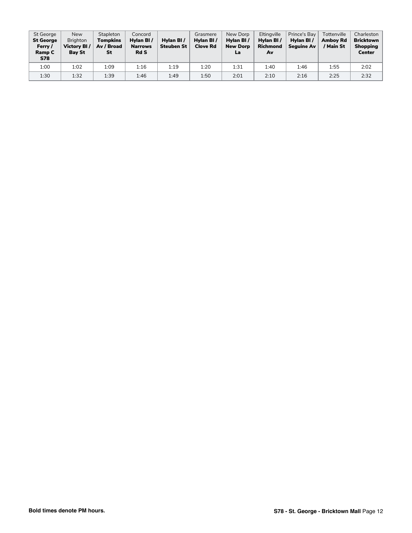| St George<br><b>St George</b><br>Ferry /<br>Ramp C<br><b>S78</b> | <b>New</b><br><b>Brighton</b><br>Victory BI/<br><b>Bay St</b> | Stapleton<br>Tompkins<br>Av / Broad<br>St | Concord<br>Hylan BI/<br><b>Narrows</b><br><b>Rd S</b> | Hylan BI/<br><b>Steuben St</b> | Grasmere<br>Hylan BI/<br><b>Clove Rd</b> | New Dorp<br>Hylan BI/<br><b>New Dorp</b><br>La | Eltingville<br>Hylan BI/<br><b>Richmond</b><br>Av | Prince's Bay<br>Hylan BI/<br><b>Sequine Av</b> | Tottenville<br><b>Amboy Rd</b><br>/ Main St | Charleston<br><b>Bricktown</b><br><b>Shopping</b><br>Center |
|------------------------------------------------------------------|---------------------------------------------------------------|-------------------------------------------|-------------------------------------------------------|--------------------------------|------------------------------------------|------------------------------------------------|---------------------------------------------------|------------------------------------------------|---------------------------------------------|-------------------------------------------------------------|
| 1:00                                                             | 1:02                                                          | 1:09                                      | 1:16                                                  | 1:19                           | 1:20                                     | 1:31                                           | 1:40                                              | 1:46                                           | 1:55                                        | 2:02                                                        |
| 1:30                                                             | 1:32                                                          | 1:39                                      | 1:46                                                  | 1:49                           | 1:50                                     | 2:01                                           | 2:10                                              | 2:16                                           | 2:25                                        | 2:32                                                        |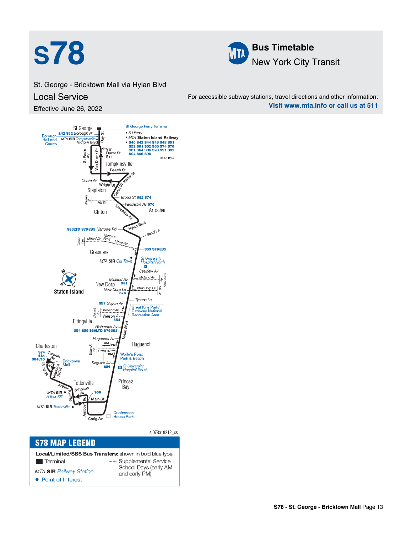



St. George - Bricktown Mall via Hylan Blvd Local Service

Effective June 26, 2022

For accessible subway stations, travel directions and other information: **Visit www.mta.info or call us at 511**



| <b>S78 MAP LEGEND</b>                                     |                                        |  |
|-----------------------------------------------------------|----------------------------------------|--|
| Local/Limited/SBS Bus Transfers: shown in bold blue type. |                                        |  |
| <b>I</b> Terminal                                         | Supplemental Service                   |  |
| <b>MTA SIR Railway Station</b>                            | School Days (early AM<br>and early PM) |  |
| • Point of Interest                                       |                                        |  |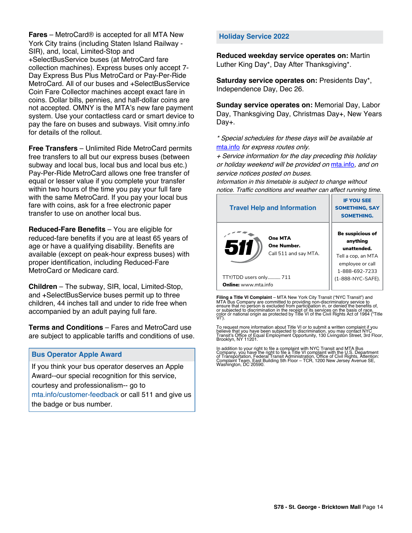**Fares** – MetroCard® is accepted for all MTA New York City trains (including Staten Island Railway - SIR), and, local, Limited-Stop and +SelectBusService buses (at MetroCard fare collection machines). Express buses only accept 7- Day Express Bus Plus MetroCard or Pay-Per-Ride MetroCard. All of our buses and +SelectBusService Coin Fare Collector machines accept exact fare in coins. Dollar bills, pennies, and half-dollar coins are not accepted. OMNY is the MTA's new fare payment system. Use your contactless card or smart device to pay the fare on buses and subways. Visit omny.info for details of the rollout.

**Free Transfers** – Unlimited Ride MetroCard permits free transfers to all but our express buses (between subway and local bus, local bus and local bus etc.) Pay-Per-Ride MetroCard allows one free transfer of equal or lesser value if you complete your transfer within two hours of the time you pay your full fare with the same MetroCard. If you pay your local bus fare with coins, ask for a free electronic paper transfer to use on another local bus.

**Reduced-Fare Benefits** – You are eligible for reduced-fare benefits if you are at least 65 years of age or have a qualifying disability. Benefits are available (except on peak-hour express buses) with proper identification, including Reduced-Fare MetroCard or Medicare card.

**Children** – The subway, SIR, local, Limited-Stop, and +SelectBusService buses permit up to three children, 44 inches tall and under to ride free when accompanied by an adult paying full fare.

**Terms and Conditions** – Fares and MetroCard use are subject to applicable tariffs and conditions of use.

## **Bus Operator Apple Award**

If you think your bus operator deserves an Apple Award--our special recognition for this service, courtesy and professionalism-- go to mta.info/customer-feedback or call 511 and give us the badge or bus number.

## **Holiday Service 2022**

**Reduced weekday service operates on:** Martin Luther King Day\*, Day After Thanksgiving\*.

**Saturday service operates on:** Presidents Day\*, Independence Day, Dec 26.

**Sunday service operates on:** Memorial Day, Labor Day, Thanksgiving Day, Christmas Day+, New Years Day+.

\* Special schedules for these days will be available at [mta.info](https://new.mta.info/) for express routes only.

+ Service information for the day preceding this holiday or holiday weekend will be provided on [mta.info](https://new.mta.info/), and on service notices posted on buses.

Information in this timetable is subject to change without notice. Traffic conditions and weather can affect running time.

| <b>Travel Help and Information</b>                            | <b>IF YOU SEE</b><br><b>SOMETHING, SAY</b><br><b>SOMETHING.</b>                                                |
|---------------------------------------------------------------|----------------------------------------------------------------------------------------------------------------|
| <b>One MTA</b><br>511<br>One Number.<br>Call 511 and say MTA. | <b>Be suspicious of</b><br>anything<br>unattended.<br>Tell a cop, an MTA<br>employee or call<br>1-888-692-7233 |
| TTY/TDD users only 711                                        | (1-888-NYC-SAFE).                                                                                              |
| <b>Online:</b> www.mta.info                                   |                                                                                                                |

**Filing a Title VI Complaint** – MTA New York City Transit ("NYC Transit") and<br>MTA Bus Company are committed to providing non-discriminatory service to<br>ensure that no person is excluded from participation in, or denied the

To request more information about Title VI or to submit a written complaint if you believe that you have been subjected to discrimination, you may contact NYC<br>Transit's Office of Equal Employment Opportunity, 130 Livingston Street, 3rd Floor,<br>Brooklyn, NY 11201.

In addition to your right to file a complaint with NYC Transit and MTA Bus<br>Company, you have the right to file a Title VI complaint with the U.S. Department<br>of Transportation, Federal Transit Administration, Office of Civi